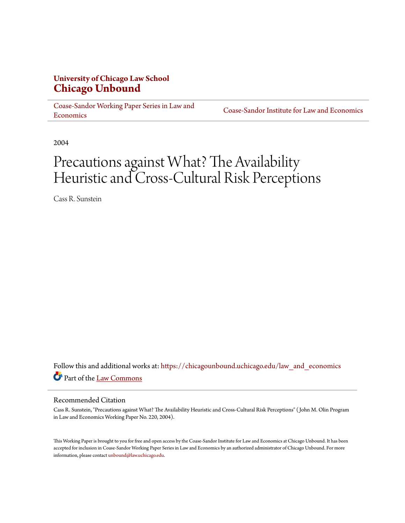## **University of Chicago Law School [Chicago Unbound](https://chicagounbound.uchicago.edu?utm_source=chicagounbound.uchicago.edu%2Flaw_and_economics%2F372&utm_medium=PDF&utm_campaign=PDFCoverPages)**

[Coase-Sandor Working Paper Series in Law and](https://chicagounbound.uchicago.edu/law_and_economics?utm_source=chicagounbound.uchicago.edu%2Flaw_and_economics%2F372&utm_medium=PDF&utm_campaign=PDFCoverPages) [Economics](https://chicagounbound.uchicago.edu/law_and_economics?utm_source=chicagounbound.uchicago.edu%2Flaw_and_economics%2F372&utm_medium=PDF&utm_campaign=PDFCoverPages)

[Coase-Sandor Institute for Law and Economics](https://chicagounbound.uchicago.edu/coase_sandor_institute?utm_source=chicagounbound.uchicago.edu%2Flaw_and_economics%2F372&utm_medium=PDF&utm_campaign=PDFCoverPages)

2004

# Precautions against What? The Availability Heuristic and Cross-Cultural Risk Perceptions

Cass R. Sunstein

Follow this and additional works at: [https://chicagounbound.uchicago.edu/law\\_and\\_economics](https://chicagounbound.uchicago.edu/law_and_economics?utm_source=chicagounbound.uchicago.edu%2Flaw_and_economics%2F372&utm_medium=PDF&utm_campaign=PDFCoverPages) Part of the [Law Commons](http://network.bepress.com/hgg/discipline/578?utm_source=chicagounbound.uchicago.edu%2Flaw_and_economics%2F372&utm_medium=PDF&utm_campaign=PDFCoverPages)

#### Recommended Citation

Cass R. Sunstein, "Precautions against What? The Availability Heuristic and Cross-Cultural Risk Perceptions" ( John M. Olin Program in Law and Economics Working Paper No. 220, 2004).

This Working Paper is brought to you for free and open access by the Coase-Sandor Institute for Law and Economics at Chicago Unbound. It has been accepted for inclusion in Coase-Sandor Working Paper Series in Law and Economics by an authorized administrator of Chicago Unbound. For more information, please contact [unbound@law.uchicago.edu.](mailto:unbound@law.uchicago.edu)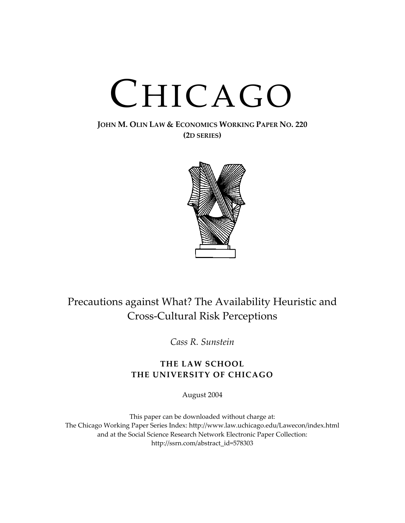# CHICAGO

### **JOHN M. OLIN LAW & ECONOMICS WORKING PAPER NO. 220 (2D SERIES)**



# Precautions against What? The Availability Heuristic and Cross-Cultural Risk Perceptions

*Cass R. Sunstein*

## **THE LAW SCHOOL THE UNIVERSITY OF CHICAGO**

August 2004

This paper can be downloaded without charge at: The Chicago Working Paper Series Index: http://www.law.uchicago.edu/Lawecon/index.html and at the Social Science Research Network Electronic Paper Collection: http://ssrn.com/abstract\_id=578303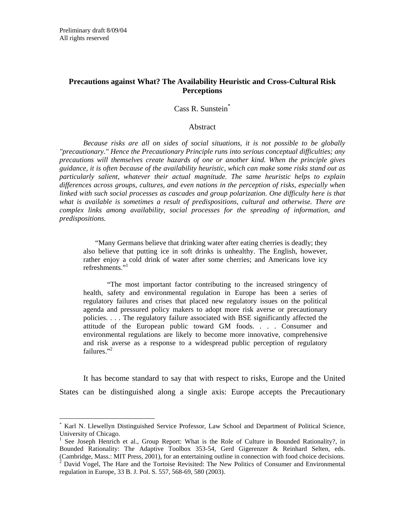$\overline{a}$ 

#### **Precautions against What? The Availability Heuristic and Cross-Cultural Risk Perceptions**

#### Cass R. Sunstein<sup>\*</sup>

#### Abstract

*Because risks are all on sides of social situations, it is not possible to be globally "precautionary." Hence the Precautionary Principle runs into serious conceptual difficulties; any precautions will themselves create hazards of one or another kind. When the principle gives guidance, it is often because of the availability heuristic, which can make some risks stand out as particularly salient, whatever their actual magnitude. The same heuristic helps to explain differences across groups, cultures, and even nations in the perception of risks, especially when*  linked with such social processes as cascades and group polarization. One difficulty here is that *what is available is sometimes a result of predispositions, cultural and otherwise. There are complex links among availability, social processes for the spreading of information, and predispositions.* 

"Many Germans believe that drinking water after eating cherries is deadly; they also believe that putting ice in soft drinks is unhealthy. The English, however, rather enjoy a cold drink of water after some cherries; and Americans love icy refreshments."<sup>[1](#page-2-1)</sup>

"The most important factor contributing to the increased stringency of health, safety and environmental regulation in Europe has been a series of regulatory failures and crises that placed new regulatory issues on the political agenda and pressured policy makers to adopt more risk averse or precautionary policies. . . . The regulatory failure associated with BSE significantly affected the attitude of the European public toward GM foods. . . . Consumer and environmental regulations are likely to become more innovative, comprehensive and risk averse as a response to a widespread public perception of regulatory failures."<sup>[2](#page-2-2)</sup>

It has become standard to say that with respect to risks, Europe and the United States can be distinguished along a single axis: Europe accepts the Precautionary

<span id="page-2-0"></span><sup>\*</sup> Karl N. Llewellyn Distinguished Service Professor, Law School and Department of Political Science, University of Chicago. <sup>1</sup>

<span id="page-2-2"></span><span id="page-2-1"></span>See Joseph Henrich et al., Group Report: What is the Role of Culture in Bounded Rationality?, in Bounded Rationality: The Adaptive Toolbox 353-54, Gerd Gigerenzer & Reinhard Selten, eds. (Cambridge, Mass.: MIT Press, 2001), for an entertaining outline in connection with food choice decisions. 2 David Vogel, The Hare and the Tortoise Revisited: The New Politics of Consumer and Environmental regulation in Europe, 33 B. J. Pol. S. 557, 568-69, 580 (2003).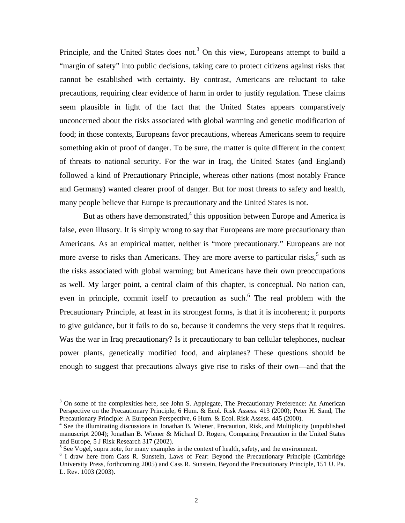Principle, and the United States does not.<sup>[3](#page-3-0)</sup> On this view, Europeans attempt to build a "margin of safety" into public decisions, taking care to protect citizens against risks that cannot be established with certainty. By contrast, Americans are reluctant to take precautions, requiring clear evidence of harm in order to justify regulation. These claims seem plausible in light of the fact that the United States appears comparatively unconcerned about the risks associated with global warming and genetic modification of food; in those contexts, Europeans favor precautions, whereas Americans seem to require something akin of proof of danger. To be sure, the matter is quite different in the context of threats to national security. For the war in Iraq, the United States (and England) followed a kind of Precautionary Principle, whereas other nations (most notably France and Germany) wanted clearer proof of danger. But for most threats to safety and health, many people believe that Europe is precautionary and the United States is not.

But as others have demonstrated, $4$  this opposition between Europe and America is false, even illusory. It is simply wrong to say that Europeans are more precautionary than Americans. As an empirical matter, neither is "more precautionary." Europeans are not more averse to risks than Americans. They are more averse to particular risks, $5$  such as the risks associated with global warming; but Americans have their own preoccupations as well. My larger point, a central claim of this chapter, is conceptual. No nation can, even in principle, commit itself to precaution as such.<sup>[6](#page-3-3)</sup> The real problem with the Precautionary Principle, at least in its strongest forms, is that it is incoherent; it purports to give guidance, but it fails to do so, because it condemns the very steps that it requires. Was the war in Iraq precautionary? Is it precautionary to ban cellular telephones, nuclear power plants, genetically modified food, and airplanes? These questions should be enough to suggest that precautions always give rise to risks of their own—and that the

<span id="page-3-0"></span><sup>&</sup>lt;sup>3</sup> On some of the complexities here, see John S. Applegate, The Precautionary Preference: An American Perspective on the Precautionary Principle, 6 Hum. & Ecol. Risk Assess. 413 (2000); Peter H. Sand, The Precautionary Principle: A European Perspective, 6 Hum. & Ecol. Risk Assess. 445 (2000).

<span id="page-3-1"></span><sup>&</sup>lt;sup>4</sup> See the illuminating discussions in Jonathan B. Wiener, Precaution, Risk, and Multiplicity (unpublished manuscript 2004); Jonathan B. Wiener & Michael D. Rogers, Comparing Precaution in the United States and Europe, 5 J Risk Research 317 (2002).

<span id="page-3-2"></span> $<sup>5</sup>$  See Vogel, supra note, for many examples in the context of health, safety, and the environment.</sup>

<span id="page-3-3"></span><sup>&</sup>lt;sup>6</sup> I draw here from Cass R. Sunstein, Laws of Fear: Beyond the Precautionary Principle (Cambridge University Press, forthcoming 2005) and Cass R. Sunstein, Beyond the Precautionary Principle, 151 U. Pa. L. Rev. 1003 (2003).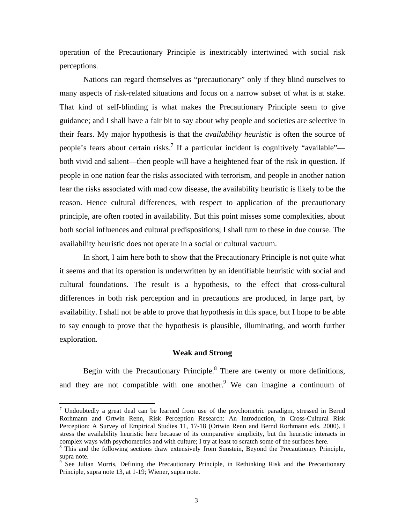operation of the Precautionary Principle is inextricably intertwined with social risk perceptions.

Nations can regard themselves as "precautionary" only if they blind ourselves to many aspects of risk-related situations and focus on a narrow subset of what is at stake. That kind of self-blinding is what makes the Precautionary Principle seem to give guidance; and I shall have a fair bit to say about why people and societies are selective in their fears. My major hypothesis is that the *availability heuristic* is often the source of people's fears about certain risks.<sup>[7](#page-4-0)</sup> If a particular incident is cognitively "available" both vivid and salient—then people will have a heightened fear of the risk in question. If people in one nation fear the risks associated with terrorism, and people in another nation fear the risks associated with mad cow disease, the availability heuristic is likely to be the reason. Hence cultural differences, with respect to application of the precautionary principle, are often rooted in availability. But this point misses some complexities, about both social influences and cultural predispositions; I shall turn to these in due course. The availability heuristic does not operate in a social or cultural vacuum.

In short, I aim here both to show that the Precautionary Principle is not quite what it seems and that its operation is underwritten by an identifiable heuristic with social and cultural foundations. The result is a hypothesis, to the effect that cross-cultural differences in both risk perception and in precautions are produced, in large part, by availability. I shall not be able to prove that hypothesis in this space, but I hope to be able to say enough to prove that the hypothesis is plausible, illuminating, and worth further exploration.

#### **Weak and Strong**

Begin with the Precautionary Principle.<sup>[8](#page-4-1)</sup> There are twenty or more definitions, and they are not compatible with one another. $9$  We can imagine a continuum of

<span id="page-4-0"></span> $7$  Undoubtedly a great deal can be learned from use of the psychometric paradigm, stressed in Bernd Rorhmann and Ortwin Renn, Risk Perception Research: An Introduction, in Cross-Cultural Risk Perception: A Survey of Empirical Studies 11, 17-18 (Ortwin Renn and Bernd Rorhmann eds. 2000). I stress the availability heuristic here because of its comparative simplicity, but the heuristic interacts in complex ways with psychometrics and with culture; I try at least to scratch some of the surfaces here.

<span id="page-4-1"></span><sup>&</sup>lt;sup>8</sup> This and the following sections draw extensively from Sunstein, Beyond the Precautionary Principle, supra note. supra note.<br><sup>9</sup> See Julian Morris, Defining the Precautionary Principle, in Rethinking Risk and the Precautionary

<span id="page-4-2"></span>Principle, supra note 13, at 1-19; Wiener, supra note.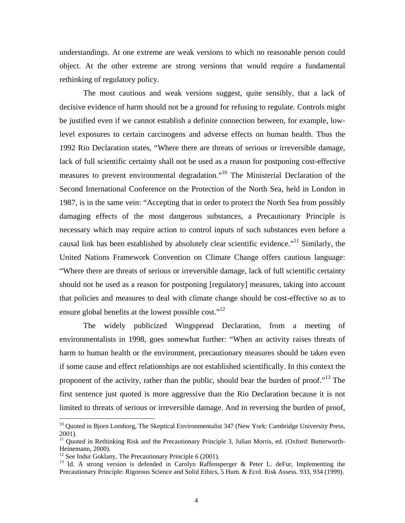understandings. At one extreme are weak versions to which no reasonable person could object. At the other extreme are strong versions that would require a fundamental rethinking of regulatory policy.

The most cautious and weak versions suggest, quite sensibly, that a lack of decisive evidence of harm should not be a ground for refusing to regulate. Controls might be justified even if we cannot establish a definite connection between, for example, lowlevel exposures to certain carcinogens and adverse effects on human health. Thus the 1992 Rio Declaration states, "Where there are threats of serious or irreversible damage, lack of full scientific certainty shall not be used as a reason for postponing cost-effective measures to prevent environmental degradation.["10](#page-5-0) The Ministerial Declaration of the Second International Conference on the Protection of the North Sea, held in London in 1987, is in the same vein: "Accepting that in order to protect the North Sea from possibly damaging effects of the most dangerous substances, a Precautionary Principle is necessary which may require action to control inputs of such substances even before a causal link has been established by absolutely clear scientific evidence."<sup>11</sup> Similarly, the United Nations Framework Convention on Climate Change offers cautious language: "Where there are threats of serious or irreversible damage, lack of full scientific certainty should not be used as a reason for postponing [regulatory] measures, taking into account that policies and measures to deal with climate change should be cost-effective so as to ensure global benefits at the lowest possible cost."<sup>12</sup>

The widely publicized Wingspread Declaration, from a meeting of environmentalists in 1998, goes somewhat further: "When an activity raises threats of harm to human health or the environment, precautionary measures should be taken even if some cause and effect relationships are not established scientifically. In this context the proponent of the activity, rather than the public, should bear the burden of proof."[13](#page-5-3) The first sentence just quoted is more aggressive than the Rio Declaration because it is not limited to threats of serious or irreversible damage. And in reversing the burden of proof,

<span id="page-5-0"></span><sup>&</sup>lt;sup>10</sup> Quoted in Bjorn Lomborg, The Skeptical Environmentalist 347 (New York: Cambridge University Press, 2001).

<span id="page-5-1"></span><sup>&</sup>lt;sup>11</sup> Quoted in Rethinking Risk and the Precautionary Principle 3, Julian Morris, ed. (Oxford: Butterworth-Heinemann, 2000). 12 See Indur Goklany, The Precautionary Principle 6 (2001).

<span id="page-5-2"></span>

<span id="page-5-3"></span><sup>&</sup>lt;sup>13</sup> Id. A strong version is defended in Carolyn Raffensperger & Peter L. deFur, Implementing the Precautionary Principle: Rigorous Science and Solid Ethics, 5 Hum. & Ecol. Risk Assess. 933, 934 (1999).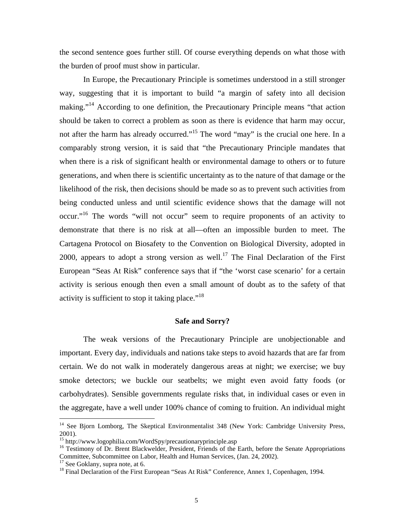the second sentence goes further still. Of course everything depends on what those with the burden of proof must show in particular.

In Europe, the Precautionary Principle is sometimes understood in a still stronger way, suggesting that it is important to build "a margin of safety into all decision making."<sup>14</sup> According to one definition, the Precautionary Principle means "that action should be taken to correct a problem as soon as there is evidence that harm may occur, not after the harm has already occurred."<sup>15</sup> The word "may" is the crucial one here. In a comparably strong version, it is said that "the Precautionary Principle mandates that when there is a risk of significant health or environmental damage to others or to future generations, and when there is scientific uncertainty as to the nature of that damage or the likelihood of the risk, then decisions should be made so as to prevent such activities from being conducted unless and until scientific evidence shows that the damage will not occur."<sup>16</sup> The words "will not occur" seem to require proponents of an activity to demonstrate that there is no risk at all—often an impossible burden to meet. The Cartagena Protocol on Biosafety to the Convention on Biological Diversity, adopted in 2000, appears to adopt a strong version as well.<sup>17</sup> The Final Declaration of the First European "Seas At Risk" conference says that if "the 'worst case scenario' for a certain activity is serious enough then even a small amount of doubt as to the safety of that activity is sufficient to stop it taking place."<sup>18</sup>

#### **Safe and Sorry?**

The weak versions of the Precautionary Principle are unobjectionable and important. Every day, individuals and nations take steps to avoid hazards that are far from certain. We do not walk in moderately dangerous areas at night; we exercise; we buy smoke detectors; we buckle our seatbelts; we might even avoid fatty foods (or carbohydrates). Sensible governments regulate risks that, in individual cases or even in the aggregate, have a well under 100% chance of coming to fruition. An individual might

<span id="page-6-0"></span><sup>&</sup>lt;sup>14</sup> See Bjorn Lomborg, The Skeptical Environmentalist 348 (New York: Cambridge University Press, 2001).<br><sup>15</sup> http://www.logophilia.com/WordSpy/precautionaryprinciple.asp

<span id="page-6-1"></span>

<span id="page-6-2"></span> $16$  Testimony of Dr. Brent Blackwelder, President, Friends of the Earth, before the Senate Appropriations Committee, Subcommittee on Labor, Health and Human Services, (Jan. 24, 2002). 17 See Goklany, supra note, at 6.

<span id="page-6-3"></span>

<span id="page-6-4"></span><sup>&</sup>lt;sup>18</sup> Final Declaration of the First European "Seas At Risk" Conference, Annex 1, Copenhagen, 1994.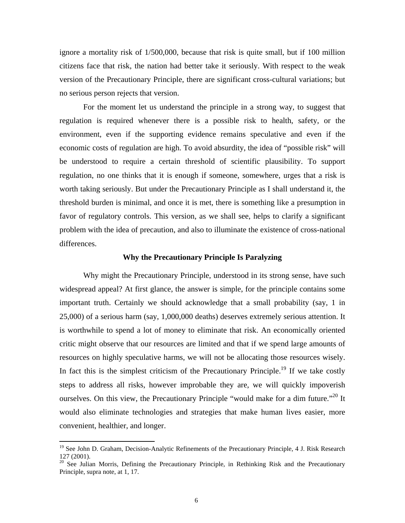ignore a mortality risk of 1/500,000, because that risk is quite small, but if 100 million citizens face that risk, the nation had better take it seriously. With respect to the weak version of the Precautionary Principle, there are significant cross-cultural variations; but no serious person rejects that version.

For the moment let us understand the principle in a strong way, to suggest that regulation is required whenever there is a possible risk to health, safety, or the environment, even if the supporting evidence remains speculative and even if the economic costs of regulation are high. To avoid absurdity, the idea of "possible risk" will be understood to require a certain threshold of scientific plausibility. To support regulation, no one thinks that it is enough if someone, somewhere, urges that a risk is worth taking seriously. But under the Precautionary Principle as I shall understand it, the threshold burden is minimal, and once it is met, there is something like a presumption in favor of regulatory controls. This version, as we shall see, helps to clarify a significant problem with the idea of precaution, and also to illuminate the existence of cross-national differences.

#### **Why the Precautionary Principle Is Paralyzing**

Why might the Precautionary Principle, understood in its strong sense, have such widespread appeal? At first glance, the answer is simple, for the principle contains some important truth. Certainly we should acknowledge that a small probability (say, 1 in 25,000) of a serious harm (say, 1,000,000 deaths) deserves extremely serious attention. It is worthwhile to spend a lot of money to eliminate that risk. An economically oriented critic might observe that our resources are limited and that if we spend large amounts of resources on highly speculative harms, we will not be allocating those resources wisely. In fact this is the simplest criticism of the Precautionary Principle.<sup>19</sup> If we take costly steps to address all risks, however improbable they are, we will quickly impoverish ourselves. On this view, the Precautionary Principle "would make for a dim future."<sup>20</sup> It would also eliminate technologies and strategies that make human lives easier, more convenient, healthier, and longer.

<span id="page-7-0"></span><sup>&</sup>lt;sup>19</sup> See John D. Graham, Decision-Analytic Refinements of the Precautionary Principle, 4 J. Risk Research 127 (2001).

<span id="page-7-1"></span><sup>&</sup>lt;sup>20</sup> See Julian Morris, Defining the Precautionary Principle, in Rethinking Risk and the Precautionary Principle, supra note, at 1, 17.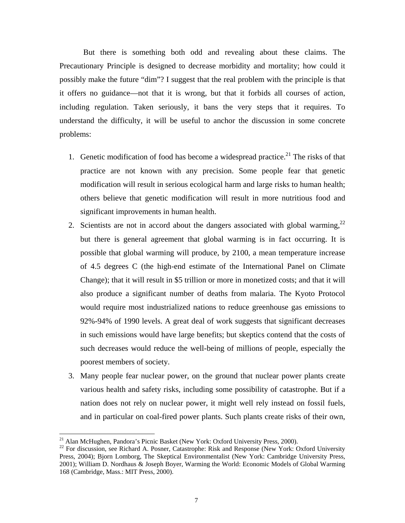But there is something both odd and revealing about these claims. The Precautionary Principle is designed to decrease morbidity and mortality; how could it possibly make the future "dim"? I suggest that the real problem with the principle is that it offers no guidance—not that it is wrong, but that it forbids all courses of action, including regulation. Taken seriously, it bans the very steps that it requires. To understand the difficulty, it will be useful to anchor the discussion in some concrete problems:

- 1. Genetic modification of food has become a widespread practice.<sup>21</sup> The risks of that practice are not known with any precision. Some people fear that genetic modification will result in serious ecological harm and large risks to human health; others believe that genetic modification will result in more nutritious food and significant improvements in human health.
- 2. Scientists are not in accord about the dangers associated with global warming,  $2^2$ but there is general agreement that global warming is in fact occurring. It is possible that global warming will produce, by 2100, a mean temperature increase of 4.5 degrees C (the high-end estimate of the International Panel on Climate Change); that it will result in \$5 trillion or more in monetized costs; and that it will also produce a significant number of deaths from malaria. The Kyoto Protocol would require most industrialized nations to reduce greenhouse gas emissions to 92%-94% of 1990 levels. A great deal of work suggests that significant decreases in such emissions would have large benefits; but skeptics contend that the costs of such decreases would reduce the well-being of millions of people, especially the poorest members of society.
- 3. Many people fear nuclear power, on the ground that nuclear power plants create various health and safety risks, including some possibility of catastrophe. But if a nation does not rely on nuclear power, it might well rely instead on fossil fuels, and in particular on coal-fired power plants. Such plants create risks of their own,

<span id="page-8-0"></span><sup>&</sup>lt;sup>21</sup> Alan McHughen, Pandora's Picnic Basket (New York: Oxford University Press, 2000).

<span id="page-8-1"></span><sup>&</sup>lt;sup>22</sup> For discussion, see Richard A. Posner, Catastrophe: Risk and Response (New York: Oxford University Press, 2004); Bjorn Lomborg, The Skeptical Environmentalist (New York: Cambridge University Press, 2001); William D. Nordhaus & Joseph Boyer, Warming the World: Economic Models of Global Warming 168 (Cambridge, Mass.: MIT Press, 2000).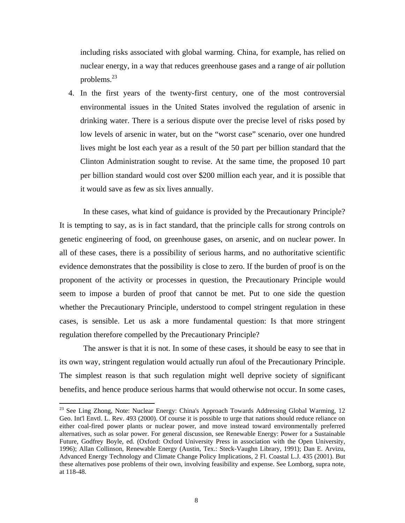including risks associated with global warming. China, for example, has relied on nuclear energy, in a way that reduces greenhouse gases and a range of air pollution problems.[23](#page-9-0)

4. In the first years of the twenty-first century, one of the most controversial environmental issues in the United States involved the regulation of arsenic in drinking water. There is a serious dispute over the precise level of risks posed by low levels of arsenic in water, but on the "worst case" scenario, over one hundred lives might be lost each year as a result of the 50 part per billion standard that the Clinton Administration sought to revise. At the same time, the proposed 10 part per billion standard would cost over \$200 million each year, and it is possible that it would save as few as six lives annually.

In these cases, what kind of guidance is provided by the Precautionary Principle? It is tempting to say, as is in fact standard, that the principle calls for strong controls on genetic engineering of food, on greenhouse gases, on arsenic, and on nuclear power. In all of these cases, there is a possibility of serious harms, and no authoritative scientific evidence demonstrates that the possibility is close to zero. If the burden of proof is on the proponent of the activity or processes in question, the Precautionary Principle would seem to impose a burden of proof that cannot be met. Put to one side the question whether the Precautionary Principle, understood to compel stringent regulation in these cases, is sensible. Let us ask a more fundamental question: Is that more stringent regulation therefore compelled by the Precautionary Principle?

The answer is that it is not. In some of these cases, it should be easy to see that in its own way, stringent regulation would actually run afoul of the Precautionary Principle. The simplest reason is that such regulation might well deprive society of significant benefits, and hence produce serious harms that would otherwise not occur. In some cases,

<span id="page-9-0"></span><sup>&</sup>lt;sup>23</sup> See Ling Zhong, Note: Nuclear Energy: China's Approach Towards Addressing Global Warming, 12 Geo. Int'l Envtl. L. Rev. 493 (2000). Of course it is possible to urge that nations should reduce reliance on either coal-fired power plants or nuclear power, and move instead toward environmentally preferred alternatives, such as solar power. For general discussion, see Renewable Energy: Power for a Sustainable Future, Godfrey Boyle, ed. (Oxford: Oxford University Press in association with the Open University, 1996); Allan Collinson, Renewable Energy (Austin, Tex.: Steck-Vaughn Library, 1991); Dan E. Arvizu, Advanced Energy Technology and Climate Change Policy Implications, 2 Fl. Coastal L.J. 435 (2001). But these alternatives pose problems of their own, involving feasibility and expense. See Lomborg, supra note, at 118-48.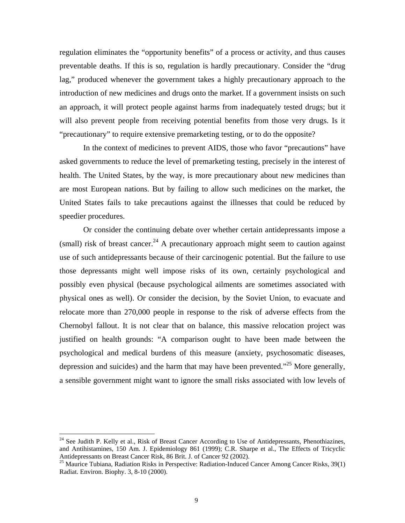regulation eliminates the "opportunity benefits" of a process or activity, and thus causes preventable deaths. If this is so, regulation is hardly precautionary. Consider the "drug lag," produced whenever the government takes a highly precautionary approach to the introduction of new medicines and drugs onto the market. If a government insists on such an approach, it will protect people against harms from inadequately tested drugs; but it will also prevent people from receiving potential benefits from those very drugs. Is it "precautionary" to require extensive premarketing testing, or to do the opposite?

In the context of medicines to prevent AIDS, those who favor "precautions" have asked governments to reduce the level of premarketing testing, precisely in the interest of health. The United States, by the way, is more precautionary about new medicines than are most European nations. But by failing to allow such medicines on the market, the United States fails to take precautions against the illnesses that could be reduced by speedier procedures.

Or consider the continuing debate over whether certain antidepressants impose a (small) risk of breast cancer.<sup>24</sup> A precautionary approach might seem to caution against use of such antidepressants because of their carcinogenic potential. But the failure to use those depressants might well impose risks of its own, certainly psychological and possibly even physical (because psychological ailments are sometimes associated with physical ones as well). Or consider the decision, by the Soviet Union, to evacuate and relocate more than 270,000 people in response to the risk of adverse effects from the Chernobyl fallout. It is not clear that on balance, this massive relocation project was justified on health grounds: "A comparison ought to have been made between the psychological and medical burdens of this measure (anxiety, psychosomatic diseases, depression and suicides) and the harm that may have been prevented.<sup> $25$ </sup> More generally, a sensible government might want to ignore the small risks associated with low levels of

<span id="page-10-0"></span><sup>&</sup>lt;sup>24</sup> See Judith P. Kelly et al., Risk of Breast Cancer According to Use of Antidepressants, Phenothiazines, and Antihistamines, 150 Am. J. Epidemiology 861 (1999); C.R. Sharpe et al., The Effects of Tricyclic Antidepressants on Breast Cancer Risk, 86 Brit. J. of Cancer 92 (2002).

<span id="page-10-1"></span><sup>25</sup> Maurice Tubiana, Radiation Risks in Perspective: Radiation-Induced Cancer Among Cancer Risks, 39(1) Radiat. Environ. Biophy. 3, 8-10 (2000).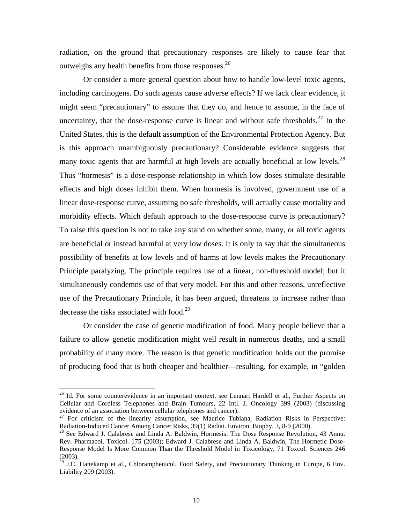radiation, on the ground that precautionary responses are likely to cause fear that outweighs any health benefits from those responses.[26](#page-11-0)

Or consider a more general question about how to handle low-level toxic agents, including carcinogens. Do such agents cause adverse effects? If we lack clear evidence, it might seem "precautionary" to assume that they do, and hence to assume, in the face of uncertainty, that the dose-response curve is linear and without safe thresholds. $27$  In the United States, this is the default assumption of the Environmental Protection Agency. But is this approach unambiguously precautionary? Considerable evidence suggests that many toxic agents that are harmful at high levels are actually beneficial at low levels.<sup>28</sup> Thus "hormesis" is a dose-response relationship in which low doses stimulate desirable effects and high doses inhibit them. When hormesis is involved, government use of a linear dose-response curve, assuming no safe thresholds, will actually cause mortality and morbidity effects. Which default approach to the dose-response curve is precautionary? To raise this question is not to take any stand on whether some, many, or all toxic agents are beneficial or instead harmful at very low doses. It is only to say that the simultaneous possibility of benefits at low levels and of harms at low levels makes the Precautionary Principle paralyzing. The principle requires use of a linear, non-threshold model; but it simultaneously condemns use of that very model. For this and other reasons, unreflective use of the Precautionary Principle, it has been argued, threatens to increase rather than decrease the risks associated with food.<sup>29</sup>

Or consider the case of genetic modification of food. Many people believe that a failure to allow genetic modification might well result in numerous deaths, and a small probability of many more. The reason is that genetic modification holds out the promise of producing food that is both cheaper and healthier—resulting, for example, in "golden

<span id="page-11-0"></span><sup>&</sup>lt;sup>26</sup> Id. For some counterevidence in an important context, see Lennart Hardell et al., Further Aspects on Cellular and Cordless Telephones and Brain Tumours, 22 Intl. J. Oncology 399 (2003) (discussing

<span id="page-11-1"></span><sup>&</sup>lt;sup>27</sup> For criticism of the linearity assumption, see Maurice Tubiana, Radiation Risks in Perspective: Radiation-Induced Cancer Among Cancer Risks,  $39(1)$  Radiat. Environ. Biophy. 3, 8-9 (2000).

<span id="page-11-2"></span><sup>&</sup>lt;sup>28</sup> See Edward J. Calabrese and Linda A. Baldwin, Hormesis: The Dose Response Revolution, 43 Annu. Rev. Pharmacol. Toxicol. 175 (2003); Edward J. Calabrese and Linda A. Baldwin, The Hormetic Dose-Response Model Is More Common Than the Threshold Model in Toxicology, 71 Toxcol. Sciences 246 (2003).

<span id="page-11-3"></span><sup>&</sup>lt;sup>29</sup> J.C. Hanekamp et al., Chloramphenicol, Food Safety, and Precautionary Thinking in Europe, 6 Env. Liability 209 (2003).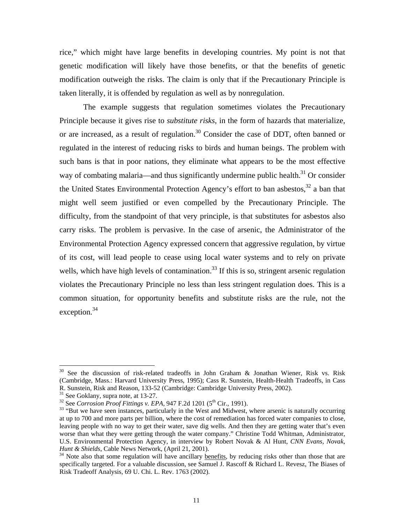rice," which might have large benefits in developing countries. My point is not that genetic modification will likely have those benefits, or that the benefits of genetic modification outweigh the risks. The claim is only that if the Precautionary Principle is taken literally, it is offended by regulation as well as by nonregulation.

The example suggests that regulation sometimes violates the Precautionary Principle because it gives rise to *substitute risks*, in the form of hazards that materialize, or are increased, as a result of regulation.<sup>30</sup> Consider the case of DDT, often banned or regulated in the interest of reducing risks to birds and human beings. The problem with such bans is that in poor nations, they eliminate what appears to be the most effective way of combating malaria—and thus significantly undermine public health.<sup>31</sup> Or consider the United States Environmental Protection Agency's effort to ban asbestos,  $32$  a ban that might well seem justified or even compelled by the Precautionary Principle. The difficulty, from the standpoint of that very principle, is that substitutes for asbestos also carry risks. The problem is pervasive. In the case of arsenic, the Administrator of the Environmental Protection Agency expressed concern that aggressive regulation, by virtue of its cost, will lead people to cease using local water systems and to rely on private wells, which have high levels of contamination.<sup>33</sup> If this is so, stringent arsenic regulation violates the Precautionary Principle no less than less stringent regulation does. This is a common situation, for opportunity benefits and substitute risks are the rule, not the exception.<sup>34</sup>

<span id="page-12-0"></span><sup>&</sup>lt;sup>30</sup> See the discussion of risk-related tradeoffs in John Graham & Jonathan Wiener, Risk vs. Risk (Cambridge, Mass.: Harvard University Press, 1995); Cass R. Sunstein, Health-Health Tradeoffs, in Cass R. Sunstein, Risk and Reason, 133-52 (Cambridge: Cambridge University Press, 2002).<br><sup>31</sup> See Goklany, supra note, at 13-27.<br><sup>32</sup> See Corrosion Proof Fittings v. EPA, 947 F.2d 1201 (5<sup>th</sup> Cir., 1991).<br><sup>33</sup> "But we have see

<span id="page-12-1"></span>

<span id="page-12-2"></span>

<span id="page-12-3"></span>at up to 700 and more parts per billion, where the cost of remediation has forced water companies to close, leaving people with no way to get their water, save dig wells. And then they are getting water that's even worse than what they were getting through the water company." Christine Todd Whitman, Administrator, U.S. Environmental Protection Agency, in interview by Robert Novak & Al Hunt, *CNN Evans, Novak, Hunt & Shields*, Cable News Network, (April 21, 2001).<br><sup>34</sup> Note also that some regulation will have ancillary benefits, by reducing risks other than those that are

<span id="page-12-4"></span>specifically targeted. For a valuable discussion, see Samuel J. Rascoff & Richard L. Revesz, The Biases of Risk Tradeoff Analysis, 69 U. Chi. L. Rev. 1763 (2002).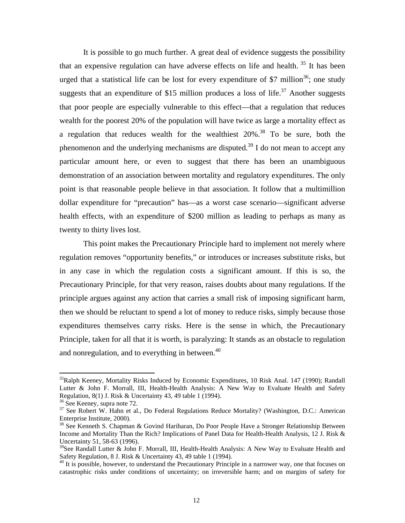<span id="page-13-5"></span>It is possible to go much further. A great deal of evidence suggests the possibility that an expensive regulation can have adverse effects on life and health.<sup>35</sup> It has been urged that a statistical life can be lost for every expenditure of \$7 million<sup>36</sup>; one study suggests that an expenditure of \$15 million produces a loss of life.<sup>37</sup> Another suggests that poor people are especially vulnerable to this effect—that a regulation that reduces wealth for the poorest 20% of the population will have twice as large a mortality effect as a regulation that reduces wealth for the wealthiest  $20\%$ <sup>38</sup> To be sure, both the phenomenon and the underlying mechanisms are disputed.<sup>39</sup> I do not mean to accept any particular amount here, or even to suggest that there has been an unambiguous demonstration of an association between mortality and regulatory expenditures. The only point is that reasonable people believe in that association. It follow that a multimillion dollar expenditure for "precaution" has—as a worst case scenario—significant adverse health effects, with an expenditure of \$200 million as leading to perhaps as many as twenty to thirty lives lost.

This point makes the Precautionary Principle hard to implement not merely where regulation removes "opportunity benefits," or introduces or increases substitute risks, but in any case in which the regulation costs a significant amount. If this is so, the Precautionary Principle, for that very reason, raises doubts about many regulations. If the principle argues against any action that carries a small risk of imposing significant harm, then we should be reluctant to spend a lot of money to reduce risks, simply because those expenditures themselves carry risks. Here is the sense in which, the Precautionary Principle, taken for all that it is worth, is paralyzing: It stands as an obstacle to regulation and nonregulation, and to everything in between.<sup>40</sup>

<span id="page-13-0"></span> $35$ Ralph Keeney, Mortality Risks Induced by Economic Expenditures, 10 Risk Anal. 147 (1990); Randall Lutter & John F. Morrall, III, Health-Health Analysis: A New Way to Evaluate Health and Safety Regulation, 8(1) J. Risk & Uncertainty 43, 49 table 1 (1994). <sup>36</sup> See Keeney, supra note 72.

<span id="page-13-1"></span>

<span id="page-13-2"></span><sup>&</sup>lt;sup>37</sup> See Robert W. Hahn et al., Do Federal Regulations Reduce Mortality? (Washington, D.C.: American Enterprise Institute, 2000).

<span id="page-13-3"></span><sup>38</sup> See Kenneth S. Chapman & Govind Hariharan, Do Poor People Have a Stronger Relationship Between Income and Mortality Than the Rich? Implications of Panel Data for Health-Health Analysis, 12 J. Risk & Uncertainty 51, 58-63 (1996).

<span id="page-13-4"></span><sup>&</sup>lt;sup>39</sup>See Randall Lutter & John F. Morrall, III, Health-Health Analysis: A New Way to Evaluate Health and Safety Regulation, 8 J. Risk & Uncertainty 43, 49 table 1 (1994).

 $40$  It is possible, however, to understand the Precautionary Principle in a narrower way, one that focuses on catastrophic risks under conditions of uncertainty; on irreversible harm; and on margins of safety for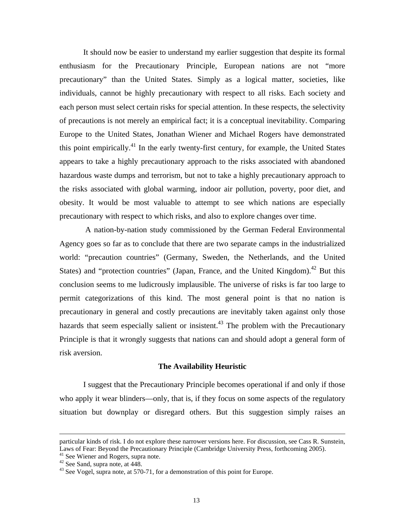It should now be easier to understand my earlier suggestion that despite its formal enthusiasm for the Precautionary Principle, European nations are not "more precautionary" than the United States. Simply as a logical matter, societies, like individuals, cannot be highly precautionary with respect to all risks. Each society and each person must select certain risks for special attention. In these respects, the selectivity of precautions is not merely an empirical fact; it is a conceptual inevitability. Comparing Europe to the United States, Jonathan Wiener and Michael Rogers have demonstrated this point empirically.<sup>41</sup> In the early twenty-first century, for example, the United States appears to take a highly precautionary approach to the risks associated with abandoned hazardous waste dumps and terrorism, but not to take a highly precautionary approach to the risks associated with global warming, indoor air pollution, poverty, poor diet, and obesity. It would be most valuable to attempt to see which nations are especially precautionary with respect to which risks, and also to explore changes over time.

A nation-by-nation study commissioned by the German Federal Environmental Agency goes so far as to conclude that there are two separate camps in the industrialized world: "precaution countries" (Germany, Sweden, the Netherlands, and the United States) and "protection countries" (Japan, France, and the United Kingdom).<sup>42</sup> But this conclusion seems to me ludicrously implausible. The universe of risks is far too large to permit categorizations of this kind. The most general point is that no nation is precautionary in general and costly precautions are inevitably taken against only those hazards that seem especially salient or insistent.<sup>43</sup> The problem with the Precautionary Principle is that it wrongly suggests that nations can and should adopt a general form of risk aversion.

#### **The Availability Heuristic**

I suggest that the Precautionary Principle becomes operational if and only if those who apply it wear blinders—only, that is, if they focus on some aspects of the regulatory situation but downplay or disregard others. But this suggestion simply raises an

particular kinds of risk. I do not explore these narrower versions here. For discussion, see Cass R. Sunstein, Laws of Fear: Beyond the Precautionary Principle (Cambridge University Press, forthcoming 2005).<br><sup>41</sup> See Wiener and Rogers, supra note.<br><sup>42</sup> See Sand, supra note, at 448.<br><sup>43</sup> See Vogel, supra note, at 570-71, for a demon

<span id="page-14-0"></span>

<span id="page-14-1"></span>

<span id="page-14-2"></span>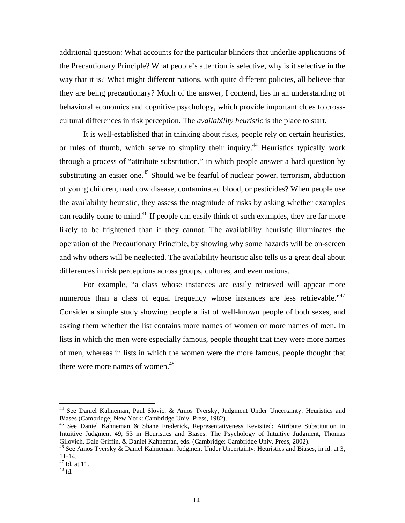additional question: What accounts for the particular blinders that underlie applications of the Precautionary Principle? What people's attention is selective, why is it selective in the way that it is? What might different nations, with quite different policies, all believe that they are being precautionary? Much of the answer, I contend, lies in an understanding of behavioral economics and cognitive psychology, which provide important clues to crosscultural differences in risk perception. The *availability heuristic* is the place to start.

It is well-established that in thinking about risks, people rely on certain heuristics, or rules of thumb, which serve to simplify their inquiry.<sup>44</sup> Heuristics typically work through a process of "attribute substitution," in which people answer a hard question by substituting an easier one.<sup>45</sup> Should we be fearful of nuclear power, terrorism, abduction of young children, mad cow disease, contaminated blood, or pesticides? When people use the availability heuristic, they assess the magnitude of risks by asking whether examples can readily come to mind.<sup>46</sup> If people can easily think of such examples, they are far more likely to be frightened than if they cannot. The availability heuristic illuminates the operation of the Precautionary Principle, by showing why some hazards will be on-screen and why others will be neglected. The availability heuristic also tells us a great deal about differences in risk perceptions across groups, cultures, and even nations.

For example, "a class whose instances are easily retrieved will appear more numerous than a class of equal frequency whose instances are less retrievable."<sup>47</sup> Consider a simple study showing people a list of well-known people of both sexes, and asking them whether the list contains more names of women or more names of men. In lists in which the men were especially famous, people thought that they were more names of men, whereas in lists in which the women were the more famous, people thought that there were more names of women. $48$ 

<span id="page-15-0"></span><sup>&</sup>lt;sup>44</sup> See Daniel Kahneman, Paul Slovic, & Amos Tversky, Judgment Under Uncertainty: Heuristics and Biases (Cambridge; New York: Cambridge Univ. Press, 1982).<br><sup>45</sup> See Daniel Kahneman & Shane Frederick, Representativeness Revisited: Attribute Substitution in

<span id="page-15-1"></span>Intuitive Judgment 49, 53 in Heuristics and Biases: The Psychology of Intuitive Judgment, Thomas Gilovich, Dale Griffin, & Daniel Kahneman, eds. (Cambridge: Cambridge Univ. Press, 2002).<br><sup>46</sup> See Amos Tversky & Daniel Kahneman, Judgment Under Uncertainty: Heuristics and Biases, in id. at 3,

<span id="page-15-2"></span><sup>11-14.</sup> 

<span id="page-15-3"></span> $^{47}$  Id. at 11.

<span id="page-15-4"></span> $48$  Id.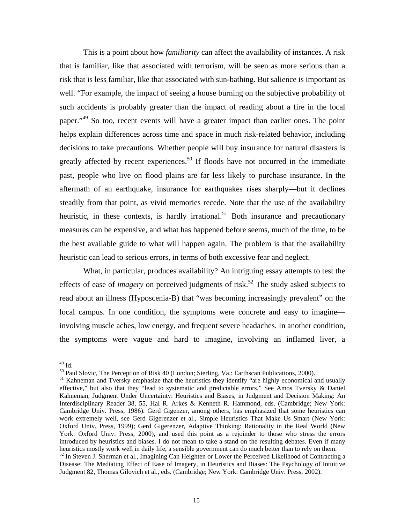This is a point about how *familiarity* can affect the availability of instances. A risk that is familiar, like that associated with terrorism, will be seen as more serious than a risk that is less familiar, like that associated with sun-bathing. But salience is important as well. "For example, the impact of seeing a house burning on the subjective probability of such accidents is probably greater than the impact of reading about a fire in the local paper."<sup>49</sup> So too, recent events will have a greater impact than earlier ones. The point helps explain differences across time and space in much risk-related behavior, including decisions to take precautions. Whether people will buy insurance for natural disasters is greatly affected by recent experiences.<sup>50</sup> If floods have not occurred in the immediate past, people who live on flood plains are far less likely to purchase insurance. In the aftermath of an earthquake, insurance for earthquakes rises sharply—but it declines steadily from that point, as vivid memories recede. Note that the use of the availability heuristic, in these contexts, is hardly irrational.<sup>51</sup> Both insurance and precautionary measures can be expensive, and what has happened before seems, much of the time, to be the best available guide to what will happen again. The problem is that the availability heuristic can lead to serious errors, in terms of both excessive fear and neglect.

What, in particular, produces availability? An intriguing essay attempts to test the effects of ease of *imagery* on perceived judgments of risk.<sup>52</sup> The study asked subjects to read about an illness (Hyposcenia-B) that "was becoming increasingly prevalent" on the local campus. In one condition, the symptoms were concrete and easy to imagine involving muscle aches, low energy, and frequent severe headaches. In another condition, the symptoms were vague and hard to imagine, involving an inflamed liver, a

<span id="page-16-0"></span> $^{49}$  Id.

<span id="page-16-2"></span><span id="page-16-1"></span>

<sup>&</sup>lt;sup>50</sup> Paul Slovic, The Perception of Risk 40 (London; Sterling, Va.: Earthscan Publications, 2000).<br><sup>51</sup> Kahneman and Tversky emphasize that the heuristics they identify "are highly economical and usually effective," but also that they "lead to systematic and predictable errors." See Amos Tversky & Daniel Kahneman, Judgment Under Uncertainty: Heuristics and Biases, in Judgment and Decision Making: An Interdisciplinary Reader 38, 55, Hal R. Arkes & Kenneth R. Hammond, eds. (Cambridge; New York: Cambridge Univ. Press, 1986). Gerd Gigenzer, among others, has emphasized that some heuristics can work extremely well, see Gerd Gigerenzer et al., Simple Heuristics That Make Us Smart (New York: Oxford Univ. Press, 1999); Gerd Gigerenzer, Adaptive Thinking: Rationality in the Real World (New York: Oxford Univ. Press, 2000), and used this point as a rejoinder to those who stress the errors introduced by heuristics and biases. I do not mean to take a stand on the resulting debates. Even if many heuristics mostly work well in daily life, a sensible government can do much better than to rely on them.<br><sup>52</sup> In Steven J. Sherman et al., Imagining Can Heighten or Lower the Perceived Likelihood of Contracting a

<span id="page-16-3"></span>Disease: The Mediating Effect of Ease of Imagery, in Heuristics and Biases: The Psychology of Intuitive Judgment 82, Thomas Gilovich et al., eds. (Cambridge; New York: Cambridge Univ. Press, 2002).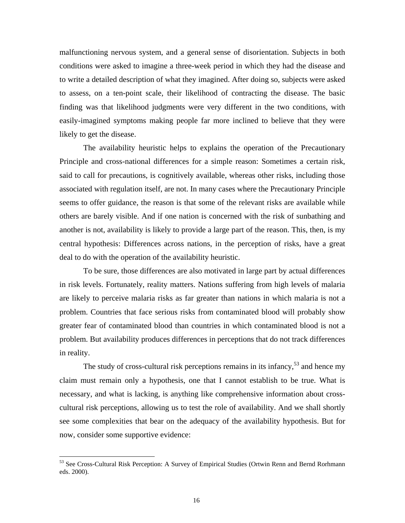malfunctioning nervous system, and a general sense of disorientation. Subjects in both conditions were asked to imagine a three-week period in which they had the disease and to write a detailed description of what they imagined. After doing so, subjects were asked to assess, on a ten-point scale, their likelihood of contracting the disease. The basic finding was that likelihood judgments were very different in the two conditions, with easily-imagined symptoms making people far more inclined to believe that they were likely to get the disease.

The availability heuristic helps to explains the operation of the Precautionary Principle and cross-national differences for a simple reason: Sometimes a certain risk, said to call for precautions, is cognitively available, whereas other risks, including those associated with regulation itself, are not. In many cases where the Precautionary Principle seems to offer guidance, the reason is that some of the relevant risks are available while others are barely visible. And if one nation is concerned with the risk of sunbathing and another is not, availability is likely to provide a large part of the reason. This, then, is my central hypothesis: Differences across nations, in the perception of risks, have a great deal to do with the operation of the availability heuristic.

To be sure, those differences are also motivated in large part by actual differences in risk levels. Fortunately, reality matters. Nations suffering from high levels of malaria are likely to perceive malaria risks as far greater than nations in which malaria is not a problem. Countries that face serious risks from contaminated blood will probably show greater fear of contaminated blood than countries in which contaminated blood is not a problem. But availability produces differences in perceptions that do not track differences in reality.

The study of cross-cultural risk perceptions remains in its infancy,  $5<sup>3</sup>$  and hence my claim must remain only a hypothesis, one that I cannot establish to be true. What is necessary, and what is lacking, is anything like comprehensive information about crosscultural risk perceptions, allowing us to test the role of availability. And we shall shortly see some complexities that bear on the adequacy of the availability hypothesis. But for now, consider some supportive evidence:

<span id="page-17-0"></span><sup>&</sup>lt;sup>53</sup> See Cross-Cultural Risk Perception: A Survey of Empirical Studies (Ortwin Renn and Bernd Rorhmann eds. 2000).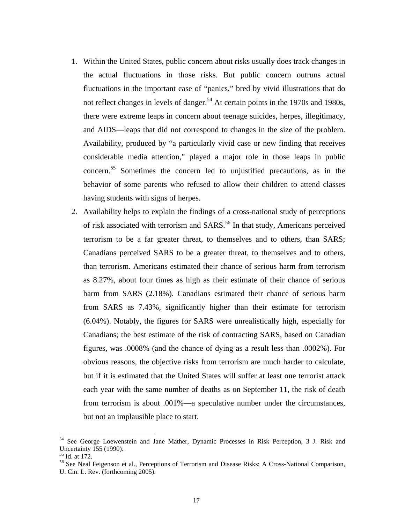- 1. Within the United States, public concern about risks usually does track changes in the actual fluctuations in those risks. But public concern outruns actual fluctuations in the important case of "panics," bred by vivid illustrations that do not reflect changes in levels of danger.<sup>54</sup> At certain points in the 1970s and 1980s, there were extreme leaps in concern about teenage suicides, herpes, illegitimacy, and AIDS—leaps that did not correspond to changes in the size of the problem. Availability, produced by "a particularly vivid case or new finding that receives considerable media attention," played a major role in those leaps in public concern.<sup>55</sup> Sometimes the concern led to unjustified precautions, as in the behavior of some parents who refused to allow their children to attend classes having students with signs of herpes.
- 2. Availability helps to explain the findings of a cross-national study of perceptions of risk associated with terrorism and SARS.<sup>56</sup> In that study, Americans perceived terrorism to be a far greater threat, to themselves and to others, than SARS; Canadians perceived SARS to be a greater threat, to themselves and to others, than terrorism. Americans estimated their chance of serious harm from terrorism as 8.27%, about four times as high as their estimate of their chance of serious harm from SARS (2.18%). Canadians estimated their chance of serious harm from SARS as 7.43%, significantly higher than their estimate for terrorism (6.04%). Notably, the figures for SARS were unrealistically high, especially for Canadians; the best estimate of the risk of contracting SARS, based on Canadian figures, was .0008% (and the chance of dying as a result less than .0002%). For obvious reasons, the objective risks from terrorism are much harder to calculate, but if it is estimated that the United States will suffer at least one terrorist attack each year with the same number of deaths as on September 11, the risk of death from terrorism is about .001%—a speculative number under the circumstances, but not an implausible place to start.

<span id="page-18-0"></span><sup>&</sup>lt;sup>54</sup> See George Loewenstein and Jane Mather, Dynamic Processes in Risk Perception, 3 J. Risk and Uncertainty 155 (1990).<br><sup>55</sup> Id. at 172.<br><sup>56</sup> See Neal Feigenson et al., Perceptions of Terrorism and Disease Risks: A Cross-National Comparison,

<span id="page-18-1"></span>

<span id="page-18-2"></span>

U. Cin. L. Rev. (forthcoming 2005).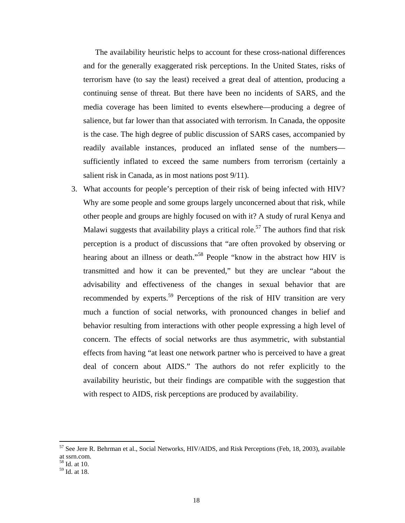The availability heuristic helps to account for these cross-national differences and for the generally exaggerated risk perceptions. In the United States, risks of terrorism have (to say the least) received a great deal of attention, producing a continuing sense of threat. But there have been no incidents of SARS, and the media coverage has been limited to events elsewhere—producing a degree of salience, but far lower than that associated with terrorism. In Canada, the opposite is the case. The high degree of public discussion of SARS cases, accompanied by readily available instances, produced an inflated sense of the numbers sufficiently inflated to exceed the same numbers from terrorism (certainly a salient risk in Canada, as in most nations post 9/11).

3. What accounts for people's perception of their risk of being infected with HIV? Why are some people and some groups largely unconcerned about that risk, while other people and groups are highly focused on with it? A study of rural Kenya and Malawi suggests that availability plays a critical role.<sup>57</sup> The authors find that risk perception is a product of discussions that "are often provoked by observing or hearing about an illness or death."<sup>58</sup> People "know in the abstract how HIV is transmitted and how it can be prevented," but they are unclear "about the advisability and effectiveness of the changes in sexual behavior that are recommended by experts.<sup>59</sup> Perceptions of the risk of HIV transition are very much a function of social networks, with pronounced changes in belief and behavior resulting from interactions with other people expressing a high level of concern. The effects of social networks are thus asymmetric, with substantial effects from having "at least one network partner who is perceived to have a great deal of concern about AIDS." The authors do not refer explicitly to the availability heuristic, but their findings are compatible with the suggestion that with respect to AIDS, risk perceptions are produced by availability.

<span id="page-19-0"></span> $57$  See Jere R. Behrman et al., Social Networks, HIV/AIDS, and Risk Perceptions (Feb, 18, 2003), available at ssrn.com.<br> $58$  Id. at 10.

<span id="page-19-1"></span>

<span id="page-19-2"></span><sup>59</sup> Id. at 18.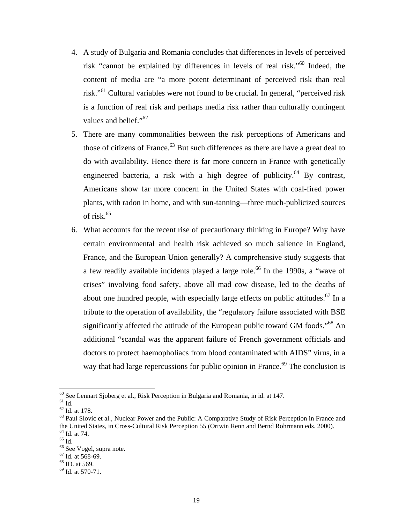- 4. A study of Bulgaria and Romania concludes that differences in levels of perceived risk "cannot be explained by differences in levels of real risk."[60](#page-20-0) Indeed, the content of media are "a more potent determinant of perceived risk than real risk."[61](#page-20-1) Cultural variables were not found to be crucial. In general, "perceived risk is a function of real risk and perhaps media risk rather than culturally contingent values and belief."<sup>[62](#page-20-2)</sup>
- 5. There are many commonalities between the risk perceptions of Americans and those of citizens of France.<sup>63</sup> But such differences as there are have a great deal to do with availability. Hence there is far more concern in France with genetically engineered bacteria, a risk with a high degree of publicity.<sup>64</sup> By contrast, Americans show far more concern in the United States with coal-fired power plants, with radon in home, and with sun-tanning—three much-publicized sources of risk. $65$
- 6. What accounts for the recent rise of precautionary thinking in Europe? Why have certain environmental and health risk achieved so much salience in England, France, and the European Union generally? A comprehensive study suggests that a few readily available incidents played a large role.<sup>66</sup> In the 1990s, a "wave of crises" involving food safety, above all mad cow disease, led to the deaths of about one hundred people, with especially large effects on public attitudes.<sup>67</sup> In a tribute to the operation of availability, the "regulatory failure associated with BSE significantly affected the attitude of the European public toward GM foods."[68 A](#page-20-8)n additional "scandal was the apparent failure of French government officials and doctors to protect haemopholiacs from blood contaminated with AIDS" virus, in a way that had large repercussions for public opinion in France.<sup>69</sup> The conclusion is

<span id="page-20-0"></span><sup>&</sup>lt;sup>60</sup> See Lennart Sjoberg et al., Risk Perception in Bulgaria and Romania, in id. at 147.<br><sup>61</sup> Id.  $\alpha$ <sup>62</sup> Id. at 178.

<span id="page-20-1"></span>

<span id="page-20-2"></span>

<span id="page-20-3"></span> $63$  Paul Slovic et al., Nuclear Power and the Public: A Comparative Study of Risk Perception in France and the United States, in Cross-Cultural Risk Perception 55 (Ortwin Renn and Bernd Rohrmann eds. 2000).<br><sup>64</sup> Id. at 74.

<span id="page-20-5"></span><span id="page-20-4"></span> $65$  Id.

<span id="page-20-6"></span><sup>&</sup>lt;sup>66</sup> See Vogel, supra note.<br><sup>67</sup> Id. at 568-69.<br><sup>68</sup> ID. at 569.<br><sup>69</sup> Id. at 570-71.

<span id="page-20-7"></span>

<span id="page-20-8"></span>

<span id="page-20-9"></span>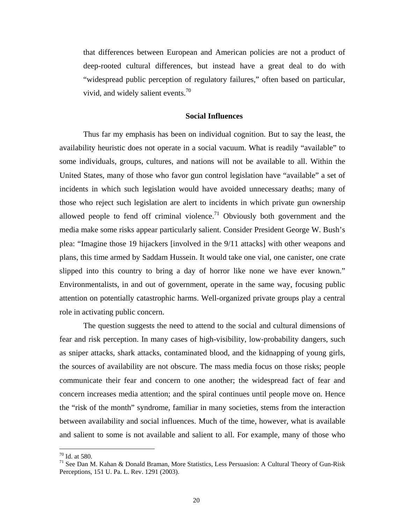that differences between European and American policies are not a product of deep-rooted cultural differences, but instead have a great deal to do with "widespread public perception of regulatory failures," often based on particular, vivid, and widely salient events. $\frac{70}{2}$  $\frac{70}{2}$  $\frac{70}{2}$ 

#### **Social Influences**

Thus far my emphasis has been on individual cognition. But to say the least, the availability heuristic does not operate in a social vacuum. What is readily "available" to some individuals, groups, cultures, and nations will not be available to all. Within the United States, many of those who favor gun control legislation have "available" a set of incidents in which such legislation would have avoided unnecessary deaths; many of those who reject such legislation are alert to incidents in which private gun ownership allowed people to fend off criminal violence.<sup>71</sup> Obviously both government and the media make some risks appear particularly salient. Consider President George W. Bush's plea: "Imagine those 19 hijackers [involved in the 9/11 attacks] with other weapons and plans, this time armed by Saddam Hussein. It would take one vial, one canister, one crate slipped into this country to bring a day of horror like none we have ever known." Environmentalists, in and out of government, operate in the same way, focusing public attention on potentially catastrophic harms. Well-organized private groups play a central role in activating public concern.

The question suggests the need to attend to the social and cultural dimensions of fear and risk perception. In many cases of high-visibility, low-probability dangers, such as sniper attacks, shark attacks, contaminated blood, and the kidnapping of young girls, the sources of availability are not obscure. The mass media focus on those risks; people communicate their fear and concern to one another; the widespread fact of fear and concern increases media attention; and the spiral continues until people move on. Hence the "risk of the month" syndrome, familiar in many societies, stems from the interaction between availability and social influences. Much of the time, however, what is available and salient to some is not available and salient to all. For example, many of those who

<span id="page-21-0"></span><sup>&</sup>lt;sup>70</sup> Id. at 580.

<span id="page-21-1"></span> $71$  See Dan M. Kahan & Donald Braman, More Statistics, Less Persuasion: A Cultural Theory of Gun-Risk Perceptions, 151 U. Pa. L. Rev. 1291 (2003).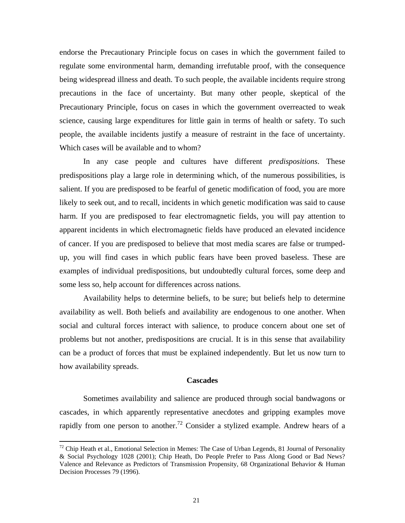endorse the Precautionary Principle focus on cases in which the government failed to regulate some environmental harm, demanding irrefutable proof, with the consequence being widespread illness and death. To such people, the available incidents require strong precautions in the face of uncertainty. But many other people, skeptical of the Precautionary Principle, focus on cases in which the government overreacted to weak science, causing large expenditures for little gain in terms of health or safety. To such people, the available incidents justify a measure of restraint in the face of uncertainty. Which cases will be available and to whom?

In any case people and cultures have different *predispositions*. These predispositions play a large role in determining which, of the numerous possibilities, is salient. If you are predisposed to be fearful of genetic modification of food, you are more likely to seek out, and to recall, incidents in which genetic modification was said to cause harm. If you are predisposed to fear electromagnetic fields, you will pay attention to apparent incidents in which electromagnetic fields have produced an elevated incidence of cancer. If you are predisposed to believe that most media scares are false or trumpedup, you will find cases in which public fears have been proved baseless. These are examples of individual predispositions, but undoubtedly cultural forces, some deep and some less so, help account for differences across nations.

Availability helps to determine beliefs, to be sure; but beliefs help to determine availability as well. Both beliefs and availability are endogenous to one another. When social and cultural forces interact with salience, to produce concern about one set of problems but not another, predispositions are crucial. It is in this sense that availability can be a product of forces that must be explained independently. But let us now turn to how availability spreads.

#### **Cascades**

Sometimes availability and salience are produced through social bandwagons or cascades, in which apparently representative anecdotes and gripping examples move rapidly from one person to another.<sup>72</sup> Consider a stylized example. Andrew hears of a

<span id="page-22-0"></span> $72$  Chip Heath et al., Emotional Selection in Memes: The Case of Urban Legends, 81 Journal of Personality & Social Psychology 1028 (2001); Chip Heath, Do People Prefer to Pass Along Good or Bad News? Valence and Relevance as Predictors of Transmission Propensity, 68 Organizational Behavior & Human Decision Processes 79 (1996).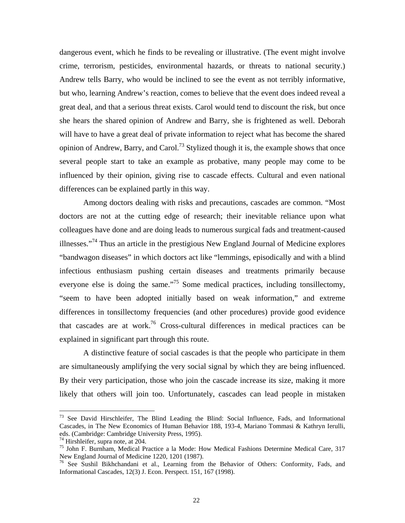dangerous event, which he finds to be revealing or illustrative. (The event might involve crime, terrorism, pesticides, environmental hazards, or threats to national security.) Andrew tells Barry, who would be inclined to see the event as not terribly informative, but who, learning Andrew's reaction, comes to believe that the event does indeed reveal a great deal, and that a serious threat exists. Carol would tend to discount the risk, but once she hears the shared opinion of Andrew and Barry, she is frightened as well. Deborah will have to have a great deal of private information to reject what has become the shared opinion of Andrew, Barry, and Carol.<sup>73</sup> Stylized though it is, the example shows that once several people start to take an example as probative, many people may come to be influenced by their opinion, giving rise to cascade effects. Cultural and even national differences can be explained partly in this way.

Among doctors dealing with risks and precautions, cascades are common. "Most doctors are not at the cutting edge of research; their inevitable reliance upon what colleagues have done and are doing leads to numerous surgical fads and treatment-caused illnesses. $174$  Thus an article in the prestigious New England Journal of Medicine explores "bandwagon diseases" in which doctors act like "lemmings, episodically and with a blind infectious enthusiasm pushing certain diseases and treatments primarily because everyone else is doing the same.<sup>75</sup> Some medical practices, including tonsillectomy, "seem to have been adopted initially based on weak information," and extreme differences in tonsillectomy frequencies (and other procedures) provide good evidence that cascades are at work.<sup>76</sup> Cross-cultural differences in medical practices can be explained in significant part through this route.

A distinctive feature of social cascades is that the people who participate in them are simultaneously amplifying the very social signal by which they are being influenced. By their very participation, those who join the cascade increase its size, making it more likely that others will join too. Unfortunately, cascades can lead people in mistaken

<span id="page-23-0"></span> $73$  See David Hirschleifer, The Blind Leading the Blind: Social Influence, Fads, and Informational Cascades, in The New Economics of Human Behavior 188, 193-4, Mariano Tommasi & Kathryn Ierulli, eds. (Cambridge: Cambridge University Press, 1995).

<span id="page-23-2"></span><span id="page-23-1"></span>

<sup>&</sup>lt;sup>74</sup> Hirshleifer, supra note, at 204.<br><sup>75</sup> John F. Burnham, Medical Practice a la Mode: How Medical Fashions Determine Medical Care, 317<br>New England Journal of Medicine 1220, 1201 (1987).

<span id="page-23-3"></span><sup>&</sup>lt;sup>76</sup> See Sushil Bikhchandani et al., Learning from the Behavior of Others: Conformity, Fads, and Informational Cascades, 12(3) J. Econ. Perspect. 151, 167 (1998).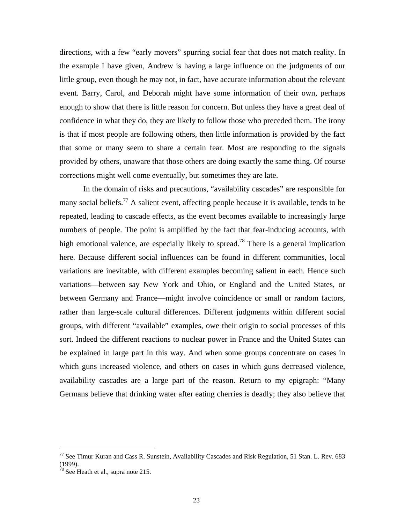directions, with a few "early movers" spurring social fear that does not match reality. In the example I have given, Andrew is having a large influence on the judgments of our little group, even though he may not, in fact, have accurate information about the relevant event. Barry, Carol, and Deborah might have some information of their own, perhaps enough to show that there is little reason for concern. But unless they have a great deal of confidence in what they do, they are likely to follow those who preceded them. The irony is that if most people are following others, then little information is provided by the fact that some or many seem to share a certain fear. Most are responding to the signals provided by others, unaware that those others are doing exactly the same thing. Of course corrections might well come eventually, but sometimes they are late.

In the domain of risks and precautions, "availability cascades" are responsible for many social beliefs.<sup>77</sup> A salient event, affecting people because it is available, tends to be repeated, leading to cascade effects, as the event becomes available to increasingly large numbers of people. The point is amplified by the fact that fear-inducing accounts, with high emotional valence, are especially likely to spread.<sup>78</sup> There is a general implication here. Because different social influences can be found in different communities, local variations are inevitable, with different examples becoming salient in each. Hence such variations—between say New York and Ohio, or England and the United States, or between Germany and France—might involve coincidence or small or random factors, rather than large-scale cultural differences. Different judgments within different social groups, with different "available" examples, owe their origin to social processes of this sort. Indeed the different reactions to nuclear power in France and the United States can be explained in large part in this way. And when some groups concentrate on cases in which guns increased violence, and others on cases in which guns decreased violence, availability cascades are a large part of the reason. Return to my epigraph: "Many Germans believe that drinking water after eating cherries is deadly; they also believe that

<span id="page-24-0"></span> $^{77}$  See Timur Kuran and Cass R. Sunstein, Availability Cascades and Risk Regulation, 51 Stan. L. Rev. 683  $(1999)$ .

<span id="page-24-1"></span><sup>&</sup>lt;sup>78</sup> See Heath et al., supra note 215.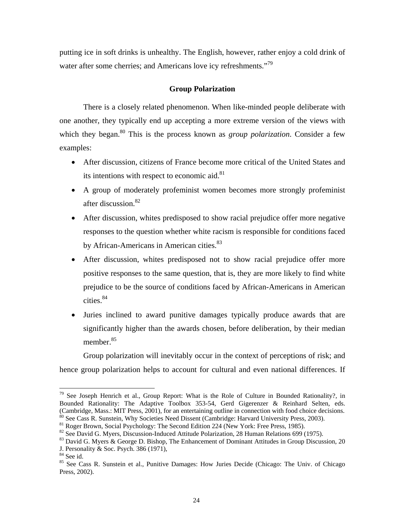putting ice in soft drinks is unhealthy. The English, however, rather enjoy a cold drink of water after some cherries; and Americans love icy refreshments."<sup>[79](#page-25-0)</sup>

#### **Group Polarization**

There is a closely related phenomenon. When like-minded people deliberate with one another, they typically end up accepting a more extreme version of the views with which they began.<sup>80</sup> This is the process known as *group polarization*. Consider a few examples:

- After discussion, citizens of France become more critical of the United States and its intentions with respect to economic aid.<sup>81</sup>
- A group of moderately profeminist women becomes more strongly profeminist after discussion.<sup>82</sup>
- After discussion, whites predisposed to show racial prejudice offer more negative responses to the question whether white racism is responsible for conditions faced by African-Americans in American cities.<sup>83</sup>
- After discussion, whites predisposed not to show racial prejudice offer more positive responses to the same question, that is, they are more likely to find white prejudice to be the source of conditions faced by African-Americans in American cities.<sup>[84](#page-25-5)</sup>
- Juries inclined to award punitive damages typically produce awards that are significantly higher than the awards chosen, before deliberation, by their median member. [85](#page-25-6)

Group polarization will inevitably occur in the context of perceptions of risk; and hence group polarization helps to account for cultural and even national differences. If

<span id="page-25-0"></span><sup>&</sup>lt;sup>79</sup> See Joseph Henrich et al., Group Report: What is the Role of Culture in Bounded Rationality?, in Bounded Rationality: The Adaptive Toolbox 353-54, Gerd Gigerenzer & Reinhard Selten, eds. (Cambridge, Mass.: MIT Press, 2001), for an entertaining outline in connection with food choice decisions.

<span id="page-25-2"></span>

<span id="page-25-4"></span><span id="page-25-3"></span>

<span id="page-25-1"></span><sup>&</sup>lt;sup>80</sup> See Cass R. Sunstein, Why Societies Need Dissent (Cambridge: Harvard University Press, 2003).<br><sup>81</sup> Roger Brown, Social Psychology: The Second Edition 224 (New York: Free Press, 1985).<br><sup>82</sup> See David G. Myers, Discussi J. Personality & Soc. Psych. 386 (1971),

<span id="page-25-5"></span> $^{84}$  See id.

<span id="page-25-6"></span><sup>&</sup>lt;sup>85</sup> See Cass R. Sunstein et al., Punitive Damages: How Juries Decide (Chicago: The Univ. of Chicago Press, 2002).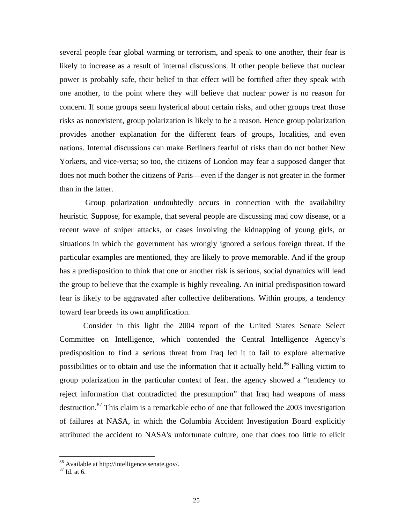several people fear global warming or terrorism, and speak to one another, their fear is likely to increase as a result of internal discussions. If other people believe that nuclear power is probably safe, their belief to that effect will be fortified after they speak with one another, to the point where they will believe that nuclear power is no reason for concern. If some groups seem hysterical about certain risks, and other groups treat those risks as nonexistent, group polarization is likely to be a reason. Hence group polarization provides another explanation for the different fears of groups, localities, and even nations. Internal discussions can make Berliners fearful of risks than do not bother New Yorkers, and vice-versa; so too, the citizens of London may fear a supposed danger that does not much bother the citizens of Paris—even if the danger is not greater in the former than in the latter.

Group polarization undoubtedly occurs in connection with the availability heuristic. Suppose, for example, that several people are discussing mad cow disease, or a recent wave of sniper attacks, or cases involving the kidnapping of young girls, or situations in which the government has wrongly ignored a serious foreign threat. If the particular examples are mentioned, they are likely to prove memorable. And if the group has a predisposition to think that one or another risk is serious, social dynamics will lead the group to believe that the example is highly revealing. An initial predisposition toward fear is likely to be aggravated after collective deliberations. Within groups, a tendency toward fear breeds its own amplification.

Consider in this light the 2004 report of the United States Senate Select Committee on Intelligence, which contended the Central Intelligence Agency's predisposition to find a serious threat from Iraq led it to fail to explore alternative possibilities or to obtain and use the information that it actually held.<sup>86</sup> Falling victim to group polarization in the particular context of fear. the agency showed a "tendency to reject information that contradicted the presumption" that Iraq had weapons of mass destruction.<sup>87</sup> This claim is a remarkable echo of one that followed the 2003 investigation of failures at NASA, in which the Columbia Accident Investigation Board explicitly attributed the accident to NASA's unfortunate culture, one that does too little to elicit

<span id="page-26-0"></span> $^{86}$  Available at http://intelligence.senate.gov/.  $^{87}$  Id. at 6.

<span id="page-26-1"></span>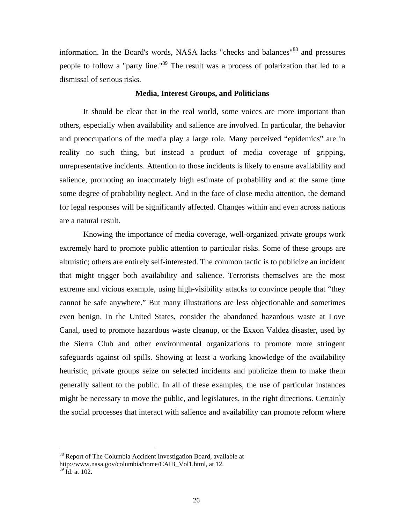information. In the Board's words, NASA lacks "checks and balances"<sup>88</sup> and pressures people to follow a "party line."<sup>89</sup> The result was a process of polarization that led to a dismissal of serious risks.

#### **Media, Interest Groups, and Politicians**

It should be clear that in the real world, some voices are more important than others, especially when availability and salience are involved. In particular, the behavior and preoccupations of the media play a large role. Many perceived "epidemics" are in reality no such thing, but instead a product of media coverage of gripping, unrepresentative incidents. Attention to those incidents is likely to ensure availability and salience, promoting an inaccurately high estimate of probability and at the same time some degree of probability neglect. And in the face of close media attention, the demand for legal responses will be significantly affected. Changes within and even across nations are a natural result.

Knowing the importance of media coverage, well-organized private groups work extremely hard to promote public attention to particular risks. Some of these groups are altruistic; others are entirely self-interested. The common tactic is to publicize an incident that might trigger both availability and salience. Terrorists themselves are the most extreme and vicious example, using high-visibility attacks to convince people that "they cannot be safe anywhere." But many illustrations are less objectionable and sometimes even benign. In the United States, consider the abandoned hazardous waste at Love Canal, used to promote hazardous waste cleanup, or the Exxon Valdez disaster, used by the Sierra Club and other environmental organizations to promote more stringent safeguards against oil spills. Showing at least a working knowledge of the availability heuristic, private groups seize on selected incidents and publicize them to make them generally salient to the public. In all of these examples, the use of particular instances might be necessary to move the public, and legislatures, in the right directions. Certainly the social processes that interact with salience and availability can promote reform where

<span id="page-27-0"></span><sup>88</sup> Report of The Columbia Accident Investigation Board, available at

http://www.nasa.gov/columbia/home/CAIB\_Vol1.html, at 12.

<span id="page-27-1"></span><sup>89</sup> Id. at 102.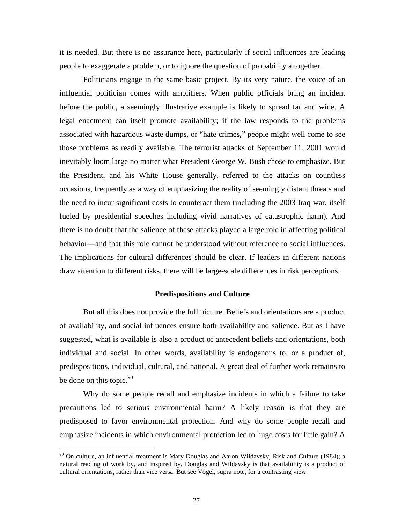it is needed. But there is no assurance here, particularly if social influences are leading people to exaggerate a problem, or to ignore the question of probability altogether.

Politicians engage in the same basic project. By its very nature, the voice of an influential politician comes with amplifiers. When public officials bring an incident before the public, a seemingly illustrative example is likely to spread far and wide. A legal enactment can itself promote availability; if the law responds to the problems associated with hazardous waste dumps, or "hate crimes," people might well come to see those problems as readily available. The terrorist attacks of September 11, 2001 would inevitably loom large no matter what President George W. Bush chose to emphasize. But the President, and his White House generally, referred to the attacks on countless occasions, frequently as a way of emphasizing the reality of seemingly distant threats and the need to incur significant costs to counteract them (including the 2003 Iraq war, itself fueled by presidential speeches including vivid narratives of catastrophic harm). And there is no doubt that the salience of these attacks played a large role in affecting political behavior—and that this role cannot be understood without reference to social influences. The implications for cultural differences should be clear. If leaders in different nations draw attention to different risks, there will be large-scale differences in risk perceptions.

#### **Predispositions and Culture**

But all this does not provide the full picture. Beliefs and orientations are a product of availability, and social influences ensure both availability and salience. But as I have suggested, what is available is also a product of antecedent beliefs and orientations, both individual and social. In other words, availability is endogenous to, or a product of, predispositions, individual, cultural, and national. A great deal of further work remains to be done on this topic. $90$ 

Why do some people recall and emphasize incidents in which a failure to take precautions led to serious environmental harm? A likely reason is that they are predisposed to favor environmental protection. And why do some people recall and emphasize incidents in which environmental protection led to huge costs for little gain? A

<span id="page-28-0"></span><sup>&</sup>lt;sup>90</sup> On culture, an influential treatment is Mary Douglas and Aaron Wildavsky, Risk and Culture (1984); a natural reading of work by, and inspired by, Douglas and Wildavsky is that availability is a product of cultural orientations, rather than vice versa. But see Vogel, supra note, for a contrasting view.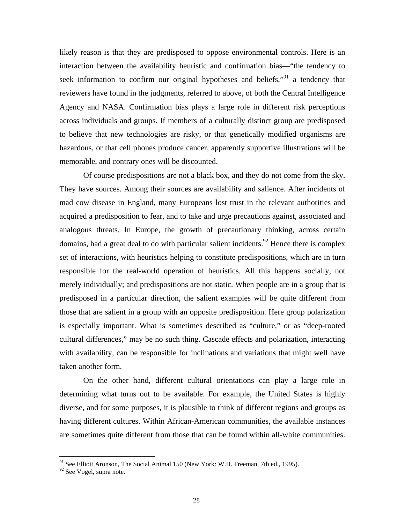likely reason is that they are predisposed to oppose environmental controls. Here is an interaction between the availability heuristic and confirmation bias—"the tendency to seek information to confirm our original hypotheses and beliefs,"<sup>91</sup> a tendency that reviewers have found in the judgments, referred to above, of both the Central Intelligence Agency and NASA. Confirmation bias plays a large role in different risk perceptions across individuals and groups. If members of a culturally distinct group are predisposed to believe that new technologies are risky, or that genetically modified organisms are hazardous, or that cell phones produce cancer, apparently supportive illustrations will be memorable, and contrary ones will be discounted.

Of course predispositions are not a black box, and they do not come from the sky. They have sources. Among their sources are availability and salience. After incidents of mad cow disease in England, many Europeans lost trust in the relevant authorities and acquired a predisposition to fear, and to take and urge precautions against, associated and analogous threats. In Europe, the growth of precautionary thinking, across certain domains, had a great deal to do with particular salient incidents.<sup>92</sup> Hence there is complex set of interactions, with heuristics helping to constitute predispositions, which are in turn responsible for the real-world operation of heuristics. All this happens socially, not merely individually; and predispositions are not static. When people are in a group that is predisposed in a particular direction, the salient examples will be quite different from those that are salient in a group with an opposite predisposition. Here group polarization is especially important. What is sometimes described as "culture," or as "deep-rooted cultural differences," may be no such thing. Cascade effects and polarization, interacting with availability, can be responsible for inclinations and variations that might well have taken another form.

On the other hand, different cultural orientations can play a large role in determining what turns out to be available. For example, the United States is highly diverse, and for some purposes, it is plausible to think of different regions and groups as having different cultures. Within African-American communities, the available instances are sometimes quite different from those that can be found within all-white communities.

<span id="page-29-0"></span><sup>&</sup>lt;sup>91</sup> See Elliott Aronson, The Social Animal 150 (New York: W.H. Freeman, 7th ed., 1995).

<span id="page-29-1"></span> $92$  See Vogel, supra note.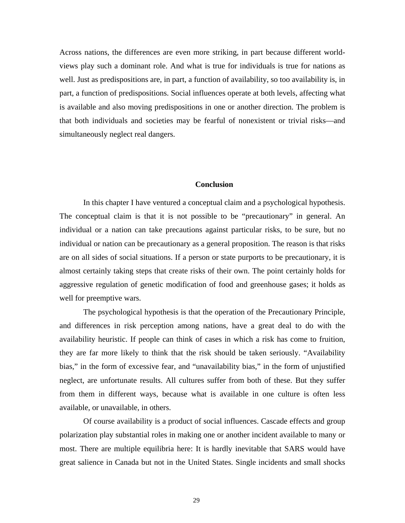Across nations, the differences are even more striking, in part because different worldviews play such a dominant role. And what is true for individuals is true for nations as well. Just as predispositions are, in part, a function of availability, so too availability is, in part, a function of predispositions. Social influences operate at both levels, affecting what is available and also moving predispositions in one or another direction. The problem is that both individuals and societies may be fearful of nonexistent or trivial risks—and simultaneously neglect real dangers.

#### **Conclusion**

In this chapter I have ventured a conceptual claim and a psychological hypothesis. The conceptual claim is that it is not possible to be "precautionary" in general. An individual or a nation can take precautions against particular risks, to be sure, but no individual or nation can be precautionary as a general proposition. The reason is that risks are on all sides of social situations. If a person or state purports to be precautionary, it is almost certainly taking steps that create risks of their own. The point certainly holds for aggressive regulation of genetic modification of food and greenhouse gases; it holds as well for preemptive wars.

The psychological hypothesis is that the operation of the Precautionary Principle, and differences in risk perception among nations, have a great deal to do with the availability heuristic. If people can think of cases in which a risk has come to fruition, they are far more likely to think that the risk should be taken seriously. "Availability bias," in the form of excessive fear, and "unavailability bias," in the form of unjustified neglect, are unfortunate results. All cultures suffer from both of these. But they suffer from them in different ways, because what is available in one culture is often less available, or unavailable, in others.

Of course availability is a product of social influences. Cascade effects and group polarization play substantial roles in making one or another incident available to many or most. There are multiple equilibria here: It is hardly inevitable that SARS would have great salience in Canada but not in the United States. Single incidents and small shocks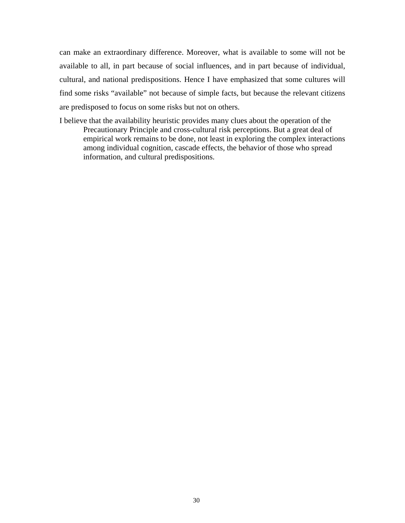can make an extraordinary difference. Moreover, what is available to some will not be available to all, in part because of social influences, and in part because of individual, cultural, and national predispositions. Hence I have emphasized that some cultures will find some risks "available" not because of simple facts, but because the relevant citizens are predisposed to focus on some risks but not on others.

I believe that the availability heuristic provides many clues about the operation of the Precautionary Principle and cross-cultural risk perceptions. But a great deal of empirical work remains to be done, not least in exploring the complex interactions among individual cognition, cascade effects, the behavior of those who spread information, and cultural predispositions.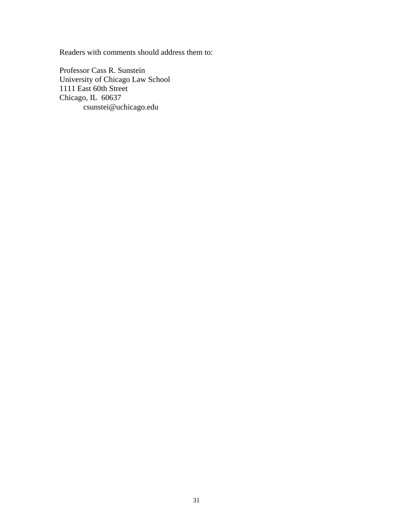Readers with comments should address them to:

Professor Cass R. Sunstein University of Chicago Law School 1111 East 60th Street Chicago, IL 60637 csunstei@uchicago.edu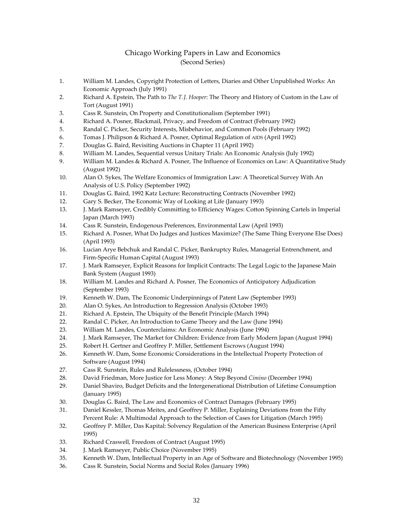#### Chicago Working Papers in Law and Economics (Second Series)

- 1. William M. Landes, Copyright Protection of Letters, Diaries and Other Unpublished Works: An Economic Approach (July 1991)
- 2. Richard A. Epstein, The Path to *The T. J. Hooper*: The Theory and History of Custom in the Law of Tort (August 1991)
- 3. Cass R. Sunstein, On Property and Constitutionalism (September 1991)
- 4. Richard A. Posner, Blackmail, Privacy, and Freedom of Contract (February 1992)
- 5. Randal C. Picker, Security Interests, Misbehavior, and Common Pools (February 1992)
- 6. Tomas J. Philipson & Richard A. Posner, Optimal Regulation of AIDS (April 1992)
- 7. Douglas G. Baird, Revisiting Auctions in Chapter 11 (April 1992)
- 8. William M. Landes, Sequential versus Unitary Trials: An Economic Analysis (July 1992)
- 9. William M. Landes & Richard A. Posner, The Influence of Economics on Law: A Quantitative Study (August 1992)
- 10. Alan O. Sykes, The Welfare Economics of Immigration Law: A Theoretical Survey With An Analysis of U.S. Policy (September 1992)
- 11. Douglas G. Baird, 1992 Katz Lecture: Reconstructing Contracts (November 1992)
- 12. Gary S. Becker, The Economic Way of Looking at Life (January 1993)
- 13. J. Mark Ramseyer, Credibly Committing to Efficiency Wages: Cotton Spinning Cartels in Imperial Japan (March 1993)
- 14. Cass R. Sunstein, Endogenous Preferences, Environmental Law (April 1993)
- 15. Richard A. Posner, What Do Judges and Justices Maximize? (The Same Thing Everyone Else Does) (April 1993)
- 16. Lucian Arye Bebchuk and Randal C. Picker, Bankruptcy Rules, Managerial Entrenchment, and Firm-Specific Human Capital (August 1993)
- 17. J. Mark Ramseyer, Explicit Reasons for Implicit Contracts: The Legal Logic to the Japanese Main Bank System (August 1993)
- 18. William M. Landes and Richard A. Posner, The Economics of Anticipatory Adjudication (September 1993)
- 19. Kenneth W. Dam, The Economic Underpinnings of Patent Law (September 1993)
- 20. Alan O. Sykes, An Introduction to Regression Analysis (October 1993)
- 21. Richard A. Epstein, The Ubiquity of the Benefit Principle (March 1994)
- 22. Randal C. Picker, An Introduction to Game Theory and the Law (June 1994)
- 23. William M. Landes, Counterclaims: An Economic Analysis (June 1994)
- 24. J. Mark Ramseyer, The Market for Children: Evidence from Early Modern Japan (August 1994)
- 25. Robert H. Gertner and Geoffrey P. Miller, Settlement Escrows (August 1994)
- 26. Kenneth W. Dam, Some Economic Considerations in the Intellectual Property Protection of Software (August 1994)
- 27. Cass R. Sunstein, Rules and Rulelessness, (October 1994)
- 28. David Friedman, More Justice for Less Money: A Step Beyond *Cimino* (December 1994)
- 29. Daniel Shaviro, Budget Deficits and the Intergenerational Distribution of Lifetime Consumption (January 1995)
- 30. Douglas G. Baird, The Law and Economics of Contract Damages (February 1995)
- 31. Daniel Kessler, Thomas Meites, and Geoffrey P. Miller, Explaining Deviations from the Fifty Percent Rule: A Multimodal Approach to the Selection of Cases for Litigation (March 1995)
- 32. Geoffrey P. Miller, Das Kapital: Solvency Regulation of the American Business Enterprise (April 1995)
- 33. Richard Craswell, Freedom of Contract (August 1995)
- 34. J. Mark Ramseyer, Public Choice (November 1995)
- 35. Kenneth W. Dam, Intellectual Property in an Age of Software and Biotechnology (November 1995)
- 36. Cass R. Sunstein, Social Norms and Social Roles (January 1996)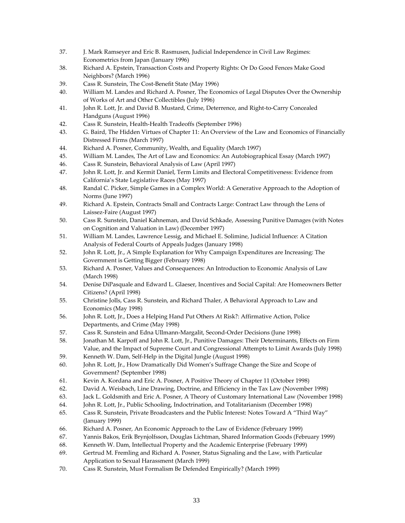- 37. J. Mark Ramseyer and Eric B. Rasmusen, Judicial Independence in Civil Law Regimes: Econometrics from Japan (January 1996)
- 38. Richard A. Epstein, Transaction Costs and Property Rights: Or Do Good Fences Make Good Neighbors? (March 1996)
- 39. Cass R. Sunstein, The Cost-Benefit State (May 1996)
- 40. William M. Landes and Richard A. Posner, The Economics of Legal Disputes Over the Ownership of Works of Art and Other Collectibles (July 1996)
- 41. John R. Lott, Jr. and David B. Mustard, Crime, Deterrence, and Right-to-Carry Concealed Handguns (August 1996)
- 42. Cass R. Sunstein, Health-Health Tradeoffs (September 1996)
- 43. G. Baird, The Hidden Virtues of Chapter 11: An Overview of the Law and Economics of Financially Distressed Firms (March 1997)
- 44. Richard A. Posner, Community, Wealth, and Equality (March 1997)
- 45. William M. Landes, The Art of Law and Economics: An Autobiographical Essay (March 1997)
- 46. Cass R. Sunstein, Behavioral Analysis of Law (April 1997)
- 47. John R. Lott, Jr. and Kermit Daniel, Term Limits and Electoral Competitiveness: Evidence from California's State Legislative Races (May 1997)
- 48. Randal C. Picker, Simple Games in a Complex World: A Generative Approach to the Adoption of Norms (June 1997)
- 49. Richard A. Epstein, Contracts Small and Contracts Large: Contract Law through the Lens of Laissez-Faire (August 1997)
- 50. Cass R. Sunstein, Daniel Kahneman, and David Schkade, Assessing Punitive Damages (with Notes on Cognition and Valuation in Law) (December 1997)
- 51. William M. Landes, Lawrence Lessig, and Michael E. Solimine, Judicial Influence: A Citation Analysis of Federal Courts of Appeals Judges (January 1998)
- 52. John R. Lott, Jr., A Simple Explanation for Why Campaign Expenditures are Increasing: The Government is Getting Bigger (February 1998)
- 53. Richard A. Posner, Values and Consequences: An Introduction to Economic Analysis of Law (March 1998)
- 54. Denise DiPasquale and Edward L. Glaeser, Incentives and Social Capital: Are Homeowners Better Citizens? (April 1998)
- 55. Christine Jolls, Cass R. Sunstein, and Richard Thaler, A Behavioral Approach to Law and Economics (May 1998)
- 56. John R. Lott, Jr., Does a Helping Hand Put Others At Risk?: Affirmative Action, Police Departments, and Crime (May 1998)
- 57. Cass R. Sunstein and Edna Ullmann-Margalit, Second-Order Decisions (June 1998)
- 58. Jonathan M. Karpoff and John R. Lott, Jr., Punitive Damages: Their Determinants, Effects on Firm Value, and the Impact of Supreme Court and Congressional Attempts to Limit Awards (July 1998)
- 59. Kenneth W. Dam, Self-Help in the Digital Jungle (August 1998)
- 60. John R. Lott, Jr., How Dramatically Did Women's Suffrage Change the Size and Scope of Government? (September 1998)
- 61. Kevin A. Kordana and Eric A. Posner, A Positive Theory of Chapter 11 (October 1998)
- 62. David A. Weisbach, Line Drawing, Doctrine, and Efficiency in the Tax Law (November 1998)
- 63. Jack L. Goldsmith and Eric A. Posner, A Theory of Customary International Law (November 1998)
- 64. John R. Lott, Jr., Public Schooling, Indoctrination, and Totalitarianism (December 1998)
- 65. Cass R. Sunstein, Private Broadcasters and the Public Interest: Notes Toward A "Third Way" (January 1999)
- 66. Richard A. Posner, An Economic Approach to the Law of Evidence (February 1999)
- 67. Yannis Bakos, Erik Brynjolfsson, Douglas Lichtman, Shared Information Goods (February 1999)
- 68. Kenneth W. Dam, Intellectual Property and the Academic Enterprise (February 1999)
- 69. Gertrud M. Fremling and Richard A. Posner, Status Signaling and the Law, with Particular Application to Sexual Harassment (March 1999)
- 70. Cass R. Sunstein, Must Formalism Be Defended Empirically? (March 1999)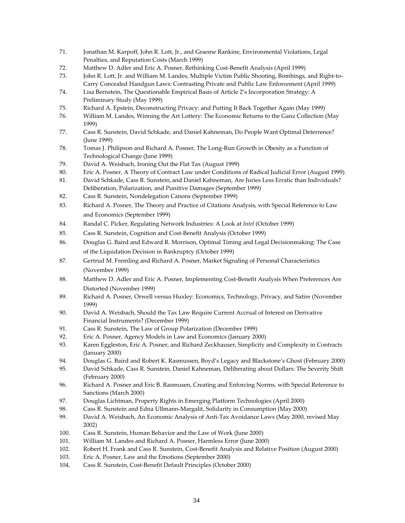- 71. Jonathan M. Karpoff, John R. Lott, Jr., and Graeme Rankine, Environmental Violations, Legal Penalties, and Reputation Costs (March 1999)
- 72. Matthew D. Adler and Eric A. Posner, Rethinking Cost-Benefit Analysis (April 1999)
- 73. John R. Lott, Jr. and William M. Landes, Multiple Victim Public Shooting, Bombings, and Right-to-Carry Concealed Handgun Laws: Contrasting Private and Public Law Enforcement (April 1999)
- 74. Lisa Bernstein, The Questionable Empirical Basis of Article 2's Incorporation Strategy: A Preliminary Study (May 1999)
- 75. Richard A. Epstein, Deconstructing Privacy: and Putting It Back Together Again (May 1999)
- 76. William M. Landes, Winning the Art Lottery: The Economic Returns to the Ganz Collection (May 1999)
- 77. Cass R. Sunstein, David Schkade, and Daniel Kahneman, Do People Want Optimal Deterrence? (June 1999)
- 78. Tomas J. Philipson and Richard A. Posner, The Long-Run Growth in Obesity as a Function of Technological Change (June 1999)
- 79. David A. Weisbach, Ironing Out the Flat Tax (August 1999)
- 80. Eric A. Posner, A Theory of Contract Law under Conditions of Radical Judicial Error (August 1999)
- 81. David Schkade, Cass R. Sunstein, and Daniel Kahneman, Are Juries Less Erratic than Individuals? Deliberation, Polarization, and Punitive Damages (September 1999)
- 82. Cass R. Sunstein, Nondelegation Canons (September 1999)
- 83. Richard A. Posner, The Theory and Practice of Citations Analysis, with Special Reference to Law and Economics (September 1999)
- 84. Randal C. Picker, Regulating Network Industries: A Look at *Intel* (October 1999)
- 85. Cass R. Sunstein, Cognition and Cost-Benefit Analysis (October 1999)
- 86. Douglas G. Baird and Edward R. Morrison, Optimal Timing and Legal Decisionmaking: The Case of the Liquidation Decision in Bankruptcy (October 1999)
- 87. Gertrud M. Fremling and Richard A. Posner, Market Signaling of Personal Characteristics (November 1999)
- 88. Matthew D. Adler and Eric A. Posner, Implementing Cost-Benefit Analysis When Preferences Are Distorted (November 1999)
- 89. Richard A. Posner, Orwell versus Huxley: Economics, Technology, Privacy, and Satire (November 1999)
- 90. David A. Weisbach, Should the Tax Law Require Current Accrual of Interest on Derivative Financial Instruments? (December 1999)
- 91. Cass R. Sunstein, The Law of Group Polarization (December 1999)
- 92. Eric A. Posner, Agency Models in Law and Economics (January 2000)
- 93. Karen Eggleston, Eric A. Posner, and Richard Zeckhauser, Simplicity and Complexity in Contracts (January 2000)
- 94. Douglas G. Baird and Robert K. Rasmussen, Boyd's Legacy and Blackstone's Ghost (February 2000)
- 95. David Schkade, Cass R. Sunstein, Daniel Kahneman, Deliberating about Dollars: The Severity Shift (February 2000)
- 96. Richard A. Posner and Eric B. Rasmusen, Creating and Enforcing Norms, with Special Reference to Sanctions (March 2000)
- 97. Douglas Lichtman, Property Rights in Emerging Platform Technologies (April 2000)
- 98. Cass R. Sunstein and Edna Ullmann-Margalit, Solidarity in Consumption (May 2000)
- 99. David A. Weisbach, An Economic Analysis of Anti-Tax Avoidance Laws (May 2000, revised May 2002)
- 100. Cass R. Sunstein, Human Behavior and the Law of Work (June 2000)
- 101. William M. Landes and Richard A. Posner, Harmless Error (June 2000)
- 102. Robert H. Frank and Cass R. Sunstein, Cost-Benefit Analysis and Relative Position (August 2000)
- 103. Eric A. Posner, Law and the Emotions (September 2000)
- 104. Cass R. Sunstein, Cost-Benefit Default Principles (October 2000)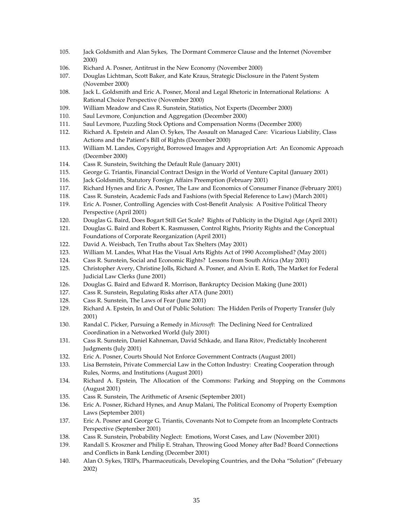- 105. Jack Goldsmith and Alan Sykes, The Dormant Commerce Clause and the Internet (November 2000)
- 106. Richard A. Posner, Antitrust in the New Economy (November 2000)
- 107. Douglas Lichtman, Scott Baker, and Kate Kraus, Strategic Disclosure in the Patent System (November 2000)
- 108. Jack L. Goldsmith and Eric A. Posner, Moral and Legal Rhetoric in International Relations: A Rational Choice Perspective (November 2000)
- 109. William Meadow and Cass R. Sunstein, Statistics, Not Experts (December 2000)
- 110. Saul Levmore, Conjunction and Aggregation (December 2000)
- 111. Saul Levmore, Puzzling Stock Options and Compensation Norms (December 2000)
- 112. Richard A. Epstein and Alan O. Sykes, The Assault on Managed Care: Vicarious Liability, Class Actions and the Patient's Bill of Rights (December 2000)
- 113. William M. Landes, Copyright, Borrowed Images and Appropriation Art: An Economic Approach (December 2000)
- 114. Cass R. Sunstein, Switching the Default Rule (January 2001)
- 115. George G. Triantis, Financial Contract Design in the World of Venture Capital (January 2001)
- 116. Jack Goldsmith, Statutory Foreign Affairs Preemption (February 2001)
- 117. Richard Hynes and Eric A. Posner, The Law and Economics of Consumer Finance (February 2001)
- 118. Cass R. Sunstein, Academic Fads and Fashions (with Special Reference to Law) (March 2001)
- 119. Eric A. Posner, Controlling Agencies with Cost-Benefit Analysis: A Positive Political Theory Perspective (April 2001)
- 120. Douglas G. Baird, Does Bogart Still Get Scale? Rights of Publicity in the Digital Age (April 2001)
- 121. Douglas G. Baird and Robert K. Rasmussen, Control Rights, Priority Rights and the Conceptual Foundations of Corporate Reorganization (April 2001)
- 122. David A. Weisbach, Ten Truths about Tax Shelters (May 2001)
- 123. William M. Landes, What Has the Visual Arts Rights Act of 1990 Accomplished? (May 2001)
- 124. Cass R. Sunstein, Social and Economic Rights? Lessons from South Africa (May 2001)
- 125. Christopher Avery, Christine Jolls, Richard A. Posner, and Alvin E. Roth, The Market for Federal Judicial Law Clerks (June 2001)
- 126. Douglas G. Baird and Edward R. Morrison, Bankruptcy Decision Making (June 2001)
- 127. Cass R. Sunstein, Regulating Risks after ATA (June 2001)
- 128. Cass R. Sunstein, The Laws of Fear (June 2001)
- 129. Richard A. Epstein, In and Out of Public Solution: The Hidden Perils of Property Transfer (July 2001)
- 130. Randal C. Picker, Pursuing a Remedy in *Microsoft*: The Declining Need for Centralized Coordination in a Networked World (July 2001)
- 131. Cass R. Sunstein, Daniel Kahneman, David Schkade, and Ilana Ritov, Predictably Incoherent Judgments (July 2001)
- 132. Eric A. Posner, Courts Should Not Enforce Government Contracts (August 2001)
- 133. Lisa Bernstein, Private Commercial Law in the Cotton Industry: Creating Cooperation through Rules, Norms, and Institutions (August 2001)
- 134. Richard A. Epstein, The Allocation of the Commons: Parking and Stopping on the Commons (August 2001)
- 135. Cass R. Sunstein, The Arithmetic of Arsenic (September 2001)
- 136. Eric A. Posner, Richard Hynes, and Anup Malani, The Political Economy of Property Exemption Laws (September 2001)
- 137. Eric A. Posner and George G. Triantis, Covenants Not to Compete from an Incomplete Contracts Perspective (September 2001)
- 138. Cass R. Sunstein, Probability Neglect: Emotions, Worst Cases, and Law (November 2001)
- 139. Randall S. Kroszner and Philip E. Strahan, Throwing Good Money after Bad? Board Connections and Conflicts in Bank Lending (December 2001)
- 140. Alan O. Sykes, TRIPs, Pharmaceuticals, Developing Countries, and the Doha "Solution" (February 2002)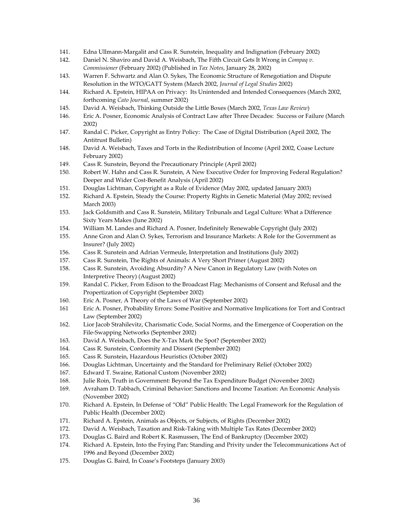- 141. Edna Ullmann-Margalit and Cass R. Sunstein, Inequality and Indignation (February 2002)
- 142. Daniel N. Shaviro and David A. Weisbach, The Fifth Circuit Gets It Wrong in *Compaq v. Commissioner* (February 2002) (Published in *Tax Notes*, January 28, 2002)
- 143. Warren F. Schwartz and Alan O. Sykes, The Economic Structure of Renegotiation and Dispute Resolution in the WTO/GATT System (March 2002, *Journal of Legal Studies* 2002)
- 144. Richard A. Epstein, HIPAA on Privacy: Its Unintended and Intended Consequences (March 2002, forthcoming *Cato Journal*, summer 2002)
- 145. David A. Weisbach, Thinking Outside the Little Boxes (March 2002, *Texas Law Review*)
- 146. Eric A. Posner, Economic Analysis of Contract Law after Three Decades: Success or Failure (March 2002)
- 147. Randal C. Picker, Copyright as Entry Policy: The Case of Digital Distribution (April 2002, The Antitrust Bulletin)
- 148. David A. Weisbach, Taxes and Torts in the Redistribution of Income (April 2002, Coase Lecture February 2002)
- 149. Cass R. Sunstein, Beyond the Precautionary Principle (April 2002)
- 150. Robert W. Hahn and Cass R. Sunstein, A New Executive Order for Improving Federal Regulation? Deeper and Wider Cost-Benefit Analysis (April 2002)
- 151. Douglas Lichtman, Copyright as a Rule of Evidence (May 2002, updated January 2003)
- 152. Richard A. Epstein, Steady the Course: Property Rights in Genetic Material (May 2002; revised March 2003)
- 153. Jack Goldsmith and Cass R. Sunstein, Military Tribunals and Legal Culture: What a Difference Sixty Years Makes (June 2002)
- 154. William M. Landes and Richard A. Posner, Indefinitely Renewable Copyright (July 2002)
- 155. Anne Gron and Alan O. Sykes, Terrorism and Insurance Markets: A Role for the Government as Insurer? (July 2002)
- 156. Cass R. Sunstein and Adrian Vermeule, Interpretation and Institutions (July 2002)
- 157. Cass R. Sunstein, The Rights of Animals: A Very Short Primer (August 2002)
- 158. Cass R. Sunstein, Avoiding Absurdity? A New Canon in Regulatory Law (with Notes on Interpretive Theory) (August 2002)
- 159. Randal C. Picker, From Edison to the Broadcast Flag: Mechanisms of Consent and Refusal and the Propertization of Copyright (September 2002)
- 160. Eric A. Posner, A Theory of the Laws of War (September 2002)
- 161 Eric A. Posner, Probability Errors: Some Positive and Normative Implications for Tort and Contract Law (September 2002)
- 162. Lior Jacob Strahilevitz, Charismatic Code, Social Norms, and the Emergence of Cooperation on the File-Swapping Networks (September 2002)
- 163. David A. Weisbach, Does the X-Tax Mark the Spot? (September 2002)
- 164. Cass R. Sunstein, Conformity and Dissent (September 2002)
- 165. Cass R. Sunstein, Hazardous Heuristics (October 2002)
- 166. Douglas Lichtman, Uncertainty and the Standard for Preliminary Relief (October 2002)
- 167. Edward T. Swaine, Rational Custom (November 2002)
- 168. Julie Roin, Truth in Government: Beyond the Tax Expenditure Budget (November 2002)
- 169. Avraham D. Tabbach, Criminal Behavior: Sanctions and Income Taxation: An Economic Analysis (November 2002)
- 170. Richard A. Epstein, In Defense of "Old" Public Health: The Legal Framework for the Regulation of Public Health (December 2002)
- 171. Richard A. Epstein, Animals as Objects, or Subjects, of Rights (December 2002)
- 172. David A. Weisbach, Taxation and Risk-Taking with Multiple Tax Rates (December 2002)
- 173. Douglas G. Baird and Robert K. Rasmussen, The End of Bankruptcy (December 2002)
- 174. Richard A. Epstein, Into the Frying Pan: Standing and Privity under the Telecommunications Act of 1996 and Beyond (December 2002)
- 175. Douglas G. Baird, In Coase's Footsteps (January 2003)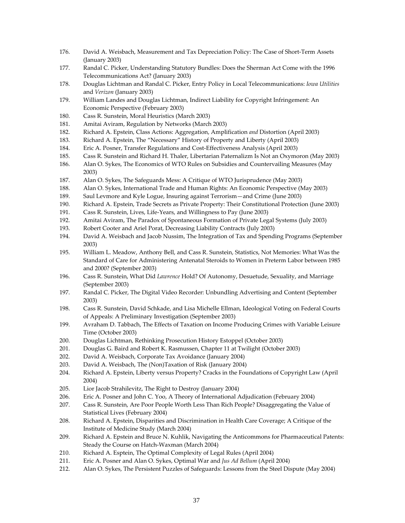- 176. David A. Weisbach, Measurement and Tax Depreciation Policy: The Case of Short-Term Assets (January 2003)
- 177. Randal C. Picker, Understanding Statutory Bundles: Does the Sherman Act Come with the 1996 Telecommunications Act? (January 2003)
- 178. Douglas Lichtman and Randal C. Picker, Entry Policy in Local Telecommunications: *Iowa Utilities* and *Verizon* (January 2003)
- 179. William Landes and Douglas Lichtman, Indirect Liability for Copyright Infringement: An Economic Perspective (February 2003)
- 180. Cass R. Sunstein, Moral Heuristics (March 2003)
- 181. Amitai Aviram, Regulation by Networks (March 2003)
- 182. Richard A. Epstein, Class Actions: Aggregation, Amplification *and* Distortion (April 2003)
- 183. Richard A. Epstein, The "Necessary" History of Property and Liberty (April 2003)
- 184. Eric A. Posner, Transfer Regulations and Cost-Effectiveness Analysis (April 2003)
- 185. Cass R. Sunstein and Richard H. Thaler, Libertarian Paternalizm Is Not an Oxymoron (May 2003)
- 186. Alan O. Sykes, The Economics of WTO Rules on Subsidies and Countervailing Measures (May 2003)
- 187. Alan O. Sykes, The Safeguards Mess: A Critique of WTO Jurisprudence (May 2003)
- 188. Alan O. Sykes, International Trade and Human Rights: An Economic Perspective (May 2003)
- 189. Saul Levmore and Kyle Logue, Insuring against Terrorism—and Crime (June 2003)
- 190. Richard A. Epstein, Trade Secrets as Private Property: Their Constitutional Protection (June 2003)
- 191. Cass R. Sunstein, Lives, Life-Years, and Willingness to Pay (June 2003)
- 192. Amitai Aviram, The Paradox of Spontaneous Formation of Private Legal Systems (July 2003)
- 193. Robert Cooter and Ariel Porat, Decreasing Liability Contracts (July 2003)
- 194. David A. Weisbach and Jacob Nussim, The Integration of Tax and Spending Programs (September 2003)
- 195. William L. Meadow, Anthony Bell, and Cass R. Sunstein, Statistics, Not Memories: What Was the Standard of Care for Administering Antenatal Steroids to Women in Preterm Labor between 1985 and 2000? (September 2003)
- 196. Cass R. Sunstein, What Did *Lawrence* Hold? Of Autonomy, Desuetude, Sexuality, and Marriage (September 2003)
- 197. Randal C. Picker, The Digital Video Recorder: Unbundling Advertising and Content (September 2003)
- 198. Cass R. Sunstein, David Schkade, and Lisa Michelle Ellman, Ideological Voting on Federal Courts of Appeals: A Preliminary Investigation (September 2003)
- 199. Avraham D. Tabbach, The Effects of Taxation on Income Producing Crimes with Variable Leisure Time (October 2003)
- 200. Douglas Lichtman, Rethinking Prosecution History Estoppel (October 2003)
- 201. Douglas G. Baird and Robert K. Rasmussen, Chapter 11 at Twilight (October 2003)
- 202. David A. Weisbach, Corporate Tax Avoidance (January 2004)
- 203. David A. Weisbach, The (Non)Taxation of Risk (January 2004)
- 204. Richard A. Epstein, Liberty versus Property? Cracks in the Foundations of Copyright Law (April 2004)
- 205. Lior Jacob Strahilevitz, The Right to Destroy (January 2004)
- 206. Eric A. Posner and John C. Yoo, A Theory of International Adjudication (February 2004)
- 207. Cass R. Sunstein, Are Poor People Worth Less Than Rich People? Disaggregating the Value of Statistical Lives (February 2004)
- 208. Richard A. Epstein, Disparities and Discrimination in Health Care Coverage; A Critique of the Institute of Medicine Study (March 2004)
- 209. Richard A. Epstein and Bruce N. Kuhlik, Navigating the Anticommons for Pharmaceutical Patents: Steady the Course on Hatch-Waxman (March 2004)
- 210. Richard A. Esptein, The Optimal Complexity of Legal Rules (April 2004)
- 211. Eric A. Posner and Alan O. Sykes, Optimal War and *Jus Ad Bellum* (April 2004)
- 212. Alan O. Sykes, The Persistent Puzzles of Safeguards: Lessons from the Steel Dispute (May 2004)